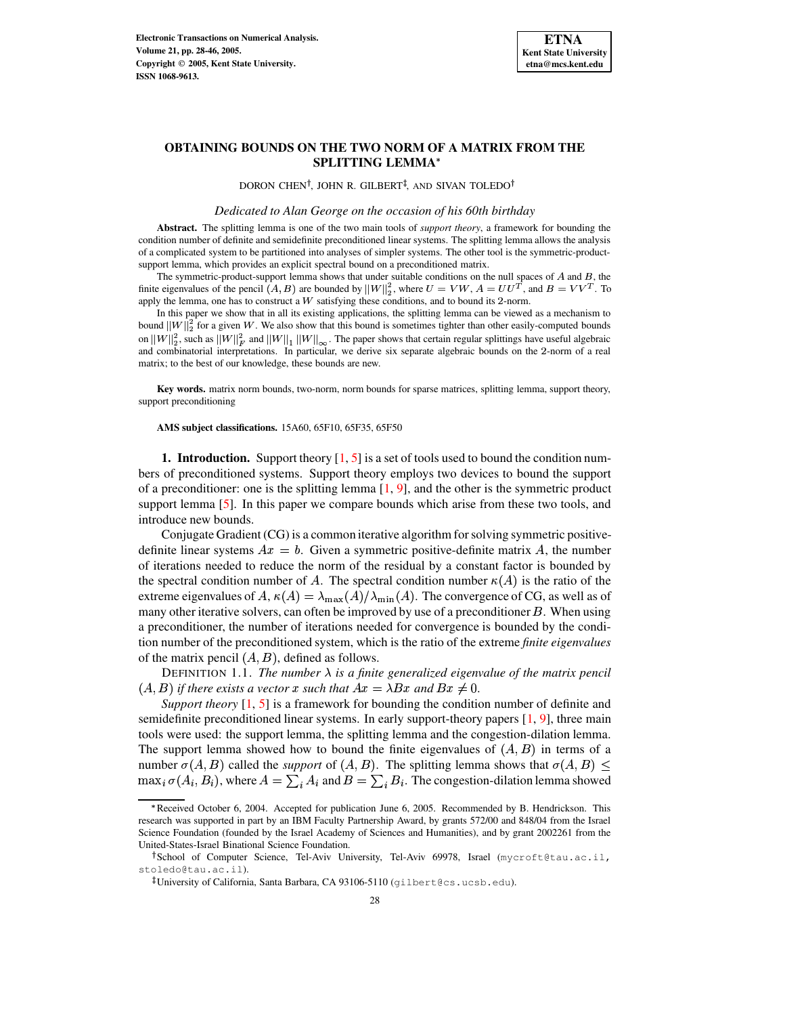

# **OBTAINING BOUNDS ON THE TWO NORM OF A MATRIX FROM THE SPLITTING LEMMA**

DORON CHEN<sup>†</sup>, JOHN R. GILBERT<sup>‡</sup>, AND SIVAN TOLEDO<sup>†</sup>

*Dedicated to Alan George on the occasion of his 60th birthday*

**Abstract.** The splitting lemma is one of the two main tools of *support theory*, a framework for bounding the condition number of definite and semidefinite preconditioned linear systems. The splitting lemma allows the analysis of a complicated system to be partitioned into analyses of simpler systems. The other tool is the symmetric-productsupport lemma, which provides an explicit spectral bound on a preconditioned matrix.

The symmetric-product-support lemma shows that under suitable conditions on the null spaces of  $A$  and  $B$ , the finite eigenvalues of the pencil  $(A, B)$  are bounded by  $||W||_2^2$ , where  $U = VW$ ,  $A = UU^T$ , and  $B = VV^T$ . To apply the lemma, one has to construct a  $W$  satisfying these conditions, and to bound its 2-norm.

In this paper we show that in all its existing applications, the splitting lemma can be viewed as a mechanism to bound  $||W||_2^2$  for a given W. We also show that this bound is sometimes tighter than other easily-computed bounds on  $||W||_2^2$ , such as  $||W||_F^2$  and  $||W||_1||W||_{\infty}$ . The paper shows that certain regular splittings have useful algebraic and combinatorial interpretations. In particular, we derive six separate algebraic bounds on the 2-norm of a real matrix; to the best of our knowledge, these bounds are new.

**Key words.** matrix norm bounds, two-norm, norm bounds for sparse matrices, splitting lemma, support theory, support preconditioning

**AMS subject classifications.** 15A60, 65F10, 65F35, 65F50

**1. Introduction.** Support theory [\[1,](#page-17-0) [5\]](#page-18-0) is a set of tools used to bound the condition numbers of preconditioned systems. Support theory employs two devices to bound the support of a preconditioner: one is the splitting lemma  $\begin{bmatrix} 1 \\ 9 \end{bmatrix}$ , and the other is the symmetric product support lemma [\[5\]](#page-18-0). In this paper we compare bounds which arise from these two tools, and introduce new bounds.

Conjugate Gradient (CG) is a common iterative algorithm forsolving symmetric positivedefinite linear systems  $Ax = b$ . Given a symmetric positive-definite matrix A, the number of iterations needed to reduce the norm of the residual by a constant factor is bounded by the spectral condition number of A. The spectral condition number  $\kappa(A)$  is the ratio of the extreme eigenvalues of A,  $\kappa(A) = \lambda_{\max}(A)/\lambda_{\min}(A)$ . The convergence of CG, as well as of many other iterative solvers, can often be improved by use of a preconditioner  $B$ . When using a preconditioner, the number of iterations needed for convergence is bounded by the condition number of the preconditioned system, which is the ratio of the extreme *finite eigenvalues* of the matrix pencil  $(A, B)$ , defined as follows.

DEFINITION 1.1. *The number*  $\lambda$  *is a finite generalized eigenvalue of the matrix pencil*  $(A, B)$  *if there exists a vector*  $x$  *such that*  $Ax = \lambda Bx$  *and*  $Bx \neq 0$ .

*Support theory* [\[1,](#page-17-0) [5\]](#page-18-0) is a framework for bounding the condition number of definite and semidefinite preconditioned linear systems. In early support-theory papers [\[1,](#page-17-0) [9\]](#page-18-1), three main tools were used: the support lemma, the splitting lemma and the congestion-dilation lemma. The support lemma showed how to bound the finite eigenvalues of  $(A, B)$  in terms of a number  $\sigma(A, B)$  called the *support* of  $(A, B)$ . The splitting lemma shows that  $\sigma(A, B) \le$  $\max_i \sigma(A_i, B_i)$ , where  $A = \sum_i A_i$  and  $B = \sum_i B_i$ . The congestion-dilation lemma showed

<sup>\*</sup> Received October 6, 2004. Accepted for publication June 6, 2005. Recommended by B. Hendrickson. This research was supported in part by an IBM Faculty Partnership Award, by grants 572/00 and 848/04 from the Israel Science Foundation (founded by the Israel Academy of Sciences and Humanities), and by grant 2002261 from the United-States-Israel Binational Science Foundation.

<sup>&</sup>lt;sup>†</sup>School of Computer Science, Tel-Aviv University, Tel-Aviv 69978, Israel (mycroft@tau.ac.il, stoledo@tau.ac.il).

 $^\ddagger$ University of California, Santa Barbara, CA 93106-5110 (gilbert@cs.ucsb.edu).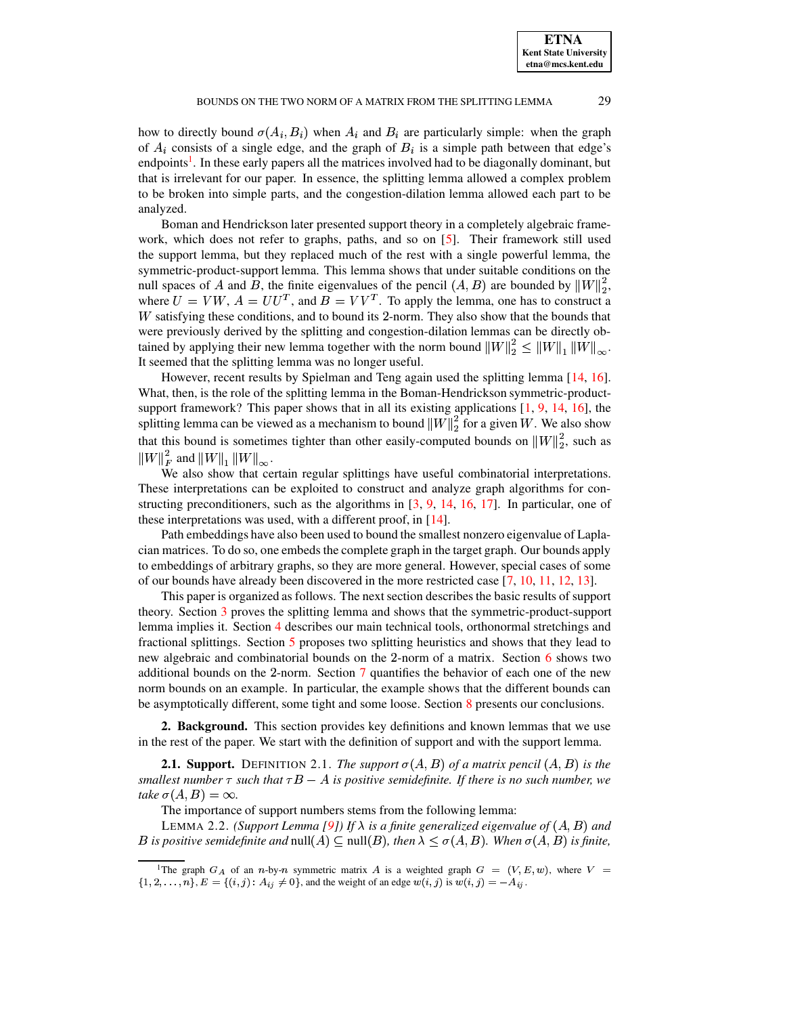**ETNA Kent State University etna@mcs.kent.edu**

how to directly bound  $\sigma(A_i, B_i)$  when  $A_i$  and  $B_i$  are particularly simple: when the graph of  $A_i$  consists of a single edge, and the graph of  $B_i$  is a simple path between that edge's endpoints<sup>[1](#page-1-0)</sup>. In these early papers all the matrices involved had to be diagonally dominant, but that is irrelevant for our paper. In essence, the splitting lemma allowed a complex problem to be broken into simple parts, and the congestion-dilation lemma allowed each part to be analyzed.

Boman and Hendrickson later presented support theory in a completely algebraic framework, which does not refer to graphs, paths, and so on [\[5\]](#page-18-0). Their framework still used the support lemma, but they replaced much of the rest with a single powerful lemma, the symmetric-product-support lemma. This lemma shows that under suitable conditions on the null spaces of A and B, the finite eigenvalues of the pencil  $(A, B)$  are bounded by  $||W||_2^2$ , where  $U = VW$ ,  $A = UU<sup>T</sup>$ , and  $B = VV<sup>T</sup>$ . To apply the lemma, one has to construct a  $W$  satisfying these conditions, and to bound its 2-norm. They also show that the bounds that were previously derived by the splitting and congestion-dilation lemmas can be directly obtained by applying their new lemma together with the norm bound  $||W||_2^2 \le ||W||_1 ||W||_{\infty}$ . It seemed that the splitting lemma was no longer useful.

However, recent results by Spielman and Teng again used the splitting lemma [\[14,](#page-18-2) [16\]](#page-18-3). What, then, is the role of the splitting lemma in the Boman-Hendrickson symmetric-product-support framework? This paper shows that in all its existing applications [\[1,](#page-17-0) [9,](#page-18-1) [14,](#page-18-2) [16\]](#page-18-3), the splitting lemma can be viewed as a mechanism to bound  $||W||_2^2$  for a given W. We also show that this bound is sometimes tighter than other easily-computed bounds on  $||W||_2^2$ , such as  $||W||_F^2$  and  $||W||_1||W||_{\infty}$ .

We also show that certain regular splittings have useful combinatorial interpretations. These interpretations can be exploited to construct and analyze graph algorithms for constructing preconditioners, such as the algorithms in  $[3, 9, 14, 16, 17]$  $[3, 9, 14, 16, 17]$  $[3, 9, 14, 16, 17]$  $[3, 9, 14, 16, 17]$  $[3, 9, 14, 16, 17]$  $[3, 9, 14, 16, 17]$  $[3, 9, 14, 16, 17]$  $[3, 9, 14, 16, 17]$  $[3, 9, 14, 16, 17]$ . In particular, one of these interpretations was used, with a different proof, in  $[14]$ .

Path embeddings have also been used to bound the smallest nonzero eigenvalue of Laplacian matrices. To do so, one embeds the complete graph in the target graph. Our bounds apply to embeddings of arbitrary graphs, so they are more general. However, special cases of some of our bounds have already been discovered in the more restricted case [\[7,](#page-18-6) [10,](#page-18-7) [11,](#page-18-8) [12,](#page-18-9) [13\]](#page-18-10).

This paper is organized as follows. The next section describes the basic results of support theory. Section [3](#page-3-0) proves the splitting lemma and shows that the symmetric-product-support lemma implies it. Section [4](#page-4-0) describes our main technical tools, orthonormal stretchings and fractional splittings. Section [5](#page-7-0) proposes two splitting heuristics and shows that they lead to new algebraic and combinatorial bounds on the  $2$ -norm of a matrix. Section [6](#page-15-0) shows two additional bounds on the 2-norm. Section [7](#page-16-0) quantifies the behavior of each one of the new norm bounds on an example. In particular, the example shows that the different bounds can be asymptotically different, some tight and some loose. Section [8](#page-17-1) presents our conclusions.

**2. Background.** This section provides key definitions and known lemmas that we use in the rest of the paper. We start with the definition of support and with the support lemma.

**2.1. Support.** DEFINITION 2.1. *The support*  $\sigma(A, B)$  of a matrix pencil  $(A, B)$  is the *smallest number*  $\tau$  *such that*  $\tau B - A$  *is positive semidefinite. If there is no such number, we take*  $\sigma(A, B) = \infty$ .

The importance of support numbers stems from the following lemma:

LEMMA 2.2. *(Support Lemma [\[9\]](#page-18-1))* If  $\lambda$  *is a finite generalized eigenvalue of*  $(A, B)$  *and B* is positive semidefinite and  $null(A) \subseteq null(B)$ , then  $\lambda \leq \sigma(A, B)$ . When  $\sigma(A, B)$  is finite,

<span id="page-1-0"></span><sup>&</sup>lt;sup>1</sup>The graph  $G_A$  of an n-by-n symmetric matrix A is a weighted graph  $G = (V, E, w)$ , where  $V =$  $\{1, 2, \ldots, n\}, E = \{(i, j): A_{ij} \neq 0\},\$ and the weight of an edge  $w(i, j)$  is  $w(i, j) = -A_{ij}$ .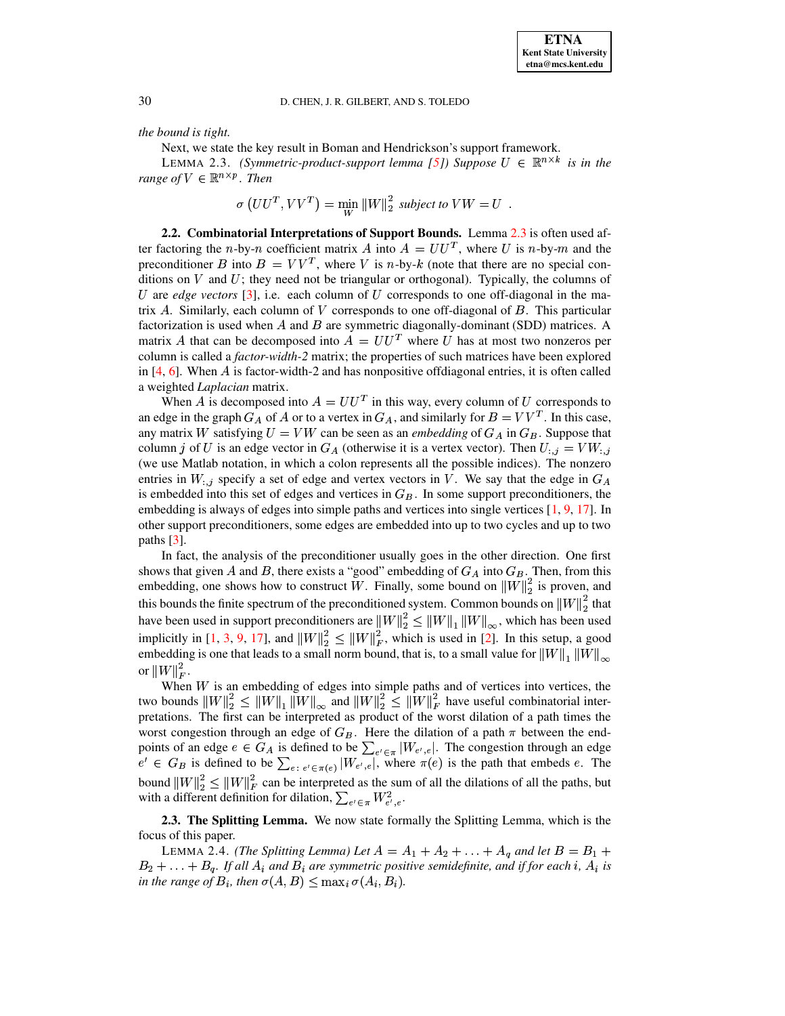<span id="page-2-0"></span>*the bound is tight.*

Next, we state the key result in Boman and Hendrickson's support framework.

LEMMA 2.3. *(Symmetric-product-support lemma [\[5\]](#page-18-0)) Suppose*  $U \in \mathbb{R}^{n \times k}$  *is in the range of*  $V \in \mathbb{R}^{n \times p}$ . *Then* 

$$
\sigma\left(UU^T, VV^T\right) = \min_{W} \|W\|_2^2 \text{ subject to } VW = U .
$$

**2.2. Combinatorial Interpretations of Support Bounds.** Lemma [2.3](#page-2-0) is often used after factoring the *n*-by-*n* coefficient matrix A into  $A = U U^T$ , where U is *n*-by-*m* and the preconditioner B into  $B = VV^T$ , where V is n-by-k (note that there are no special conditions on  $V$  and  $U$ ; they need not be triangular or orthogonal). Typically, the columns of  $U$  are *edge vectors* [\[3\]](#page-18-4), i.e. each column of  $U$  corresponds to one off-diagonal in the matrix  $A$ . Similarly, each column of  $V$  corresponds to one off-diagonal of  $B$ . This particular factorization is used when  $A$  and  $B$  are symmetric diagonally-dominant (SDD) matrices. A matrix A that can be decomposed into  $A = U U^T$  where U has at most two nonzeros per column is called a *factor-width-2* matrix; the properties of such matrices have been explored in  $[4, 6]$  $[4, 6]$  $[4, 6]$ . When A is factor-width-2 and has nonpositive offdiagonal entries, it is often called a weighted *Laplacian* matrix.

When A is decomposed into  $A = U U^T$  in this way, every column of U corresponds to an edge in the graph  $G_A$  of A or to a vertex in  $G_A$ , and similarly for  $B = VV^T$ . In this case, any matrix W satisfying  $U = VW$  can be seen as an *embedding* of  $G_A$  in  $G_B$ . Suppose that column *j* of *U* is an edge vector in  $G_A$  (otherwise it is a vertex vector). Then  $U_{:,j} = VW_{:,j}$ (we use Matlab notation, in which a colon represents all the possible indices). The nonzero entries in  $W_{:,j}$  specify a set of edge and vertex vectors in V. We say that the edge in  $G_A$ is embedded into this set of edges and vertices in  $G<sub>B</sub>$ . In some support preconditioners, the embedding is always of edges into simple paths and vertices into single vertices  $[1, 9, 17]$  $[1, 9, 17]$  $[1, 9, 17]$  $[1, 9, 17]$  $[1, 9, 17]$ . In other support preconditioners, some edges are embedded into up to two cycles and up to two paths  $[3]$ .

In fact, the analysis of the preconditioner usually goes in the other direction. One first shows that given A and B, there exists a "good" embedding of  $G_A$  into  $G_B$ . Then, from this embedding, one shows how to construct W. Finally, some bound on  $||W||_2^2$  is proven, and this bounds the finite spectrum of the preconditioned system. Common bounds on  $||W||_2^2$  that have been used in support preconditioners are  $||W||_2^2 \le ||W||_1 ||W||_{\infty}$ , which has been used implicitly in [\[1,](#page-17-0) [3,](#page-18-4) [9,](#page-18-1) [17\]](#page-18-5), and  $||W||_2^2 \le ||W||_F^2$ , which is used in [\[2\]](#page-17-2). In this setup, a good embedding is one that leads to a small norm bound, that is, to a small value for  $||W||_1 ||W||_{\infty}$ or  $||W||_F^2$ .

When  $W$  is an embedding of edges into simple paths and of vertices into vertices, the two bounds  $||W||_2^2 \le ||W||_1 ||W||_{\infty}$  and  $||W||_2^2 \le ||W||_F^2$  have useful combinatorial interpretations. The first can be interpreted as product of the worst dilation of a path times the worst congestion through an edge of  $G_B$ . Here the dilation of a path  $\pi$  between the endpoints of an edge  $e \in G_A$  is defined to be  $\sum_{e' \in \pi} |W_{e',e}|$ . The congestion through an edge  $e' \in G_B$  is defined to be  $\sum_{e' \in \sigma(e)} |W_{e',e}|$ , where  $\pi(e)$  is the path that embeds e. The bound  $||W||_2^2 \le ||W||_F^2$  can be interpreted as the sum of all the dilations of all the paths, but with a different definition for dilation,  $\sum_{e' \in \pi} W_{e',e}^2$ .

<span id="page-2-1"></span>**2.3. The Splitting Lemma.** We now state formally the Splitting Lemma, which is the focus of this paper.

LEMMA 2.4. *(The Splitting Lemma)* Let  $A = A_1 + A_2 + \ldots + A_q$  and let  $B = B_1 +$  $B_2 + \ldots + B_q$ . If all  $A_i$  and  $B_i$  are symmetric positive semidefinite, and if for each i,  $A_i$  is *in the range of*  $B_i$ , then  $\sigma(A, B) \leq \max_i \sigma(A_i, B_i)$ .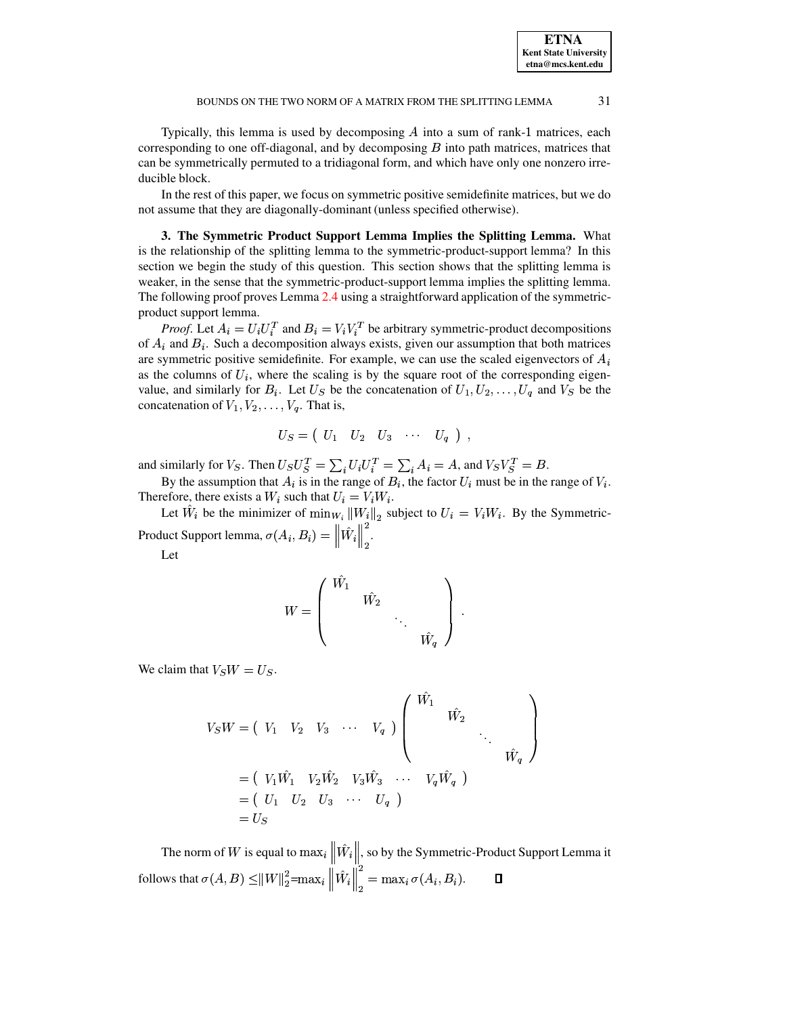Typically, this lemma is used by decomposing  $A$  into a sum of rank-1 matrices, each corresponding to one off-diagonal, and by decomposing  $B$  into path matrices, matrices that can be symmetrically permuted to a tridiagonal form, and which have only one nonzero irreducible block.

In the rest of this paper, we focus on symmetric positive semidefinite matrices, but we do not assume that they are diagonally-dominant (unless specified otherwise).

<span id="page-3-0"></span>3. The Symmetric Product Support Lemma Implies the Splitting Lemma. What is the relationship of the splitting lemma to the symmetric-product-support lemma? In this section we begin the study of this question. This section shows that the splitting lemma is weaker, in the sense that the symmetric-product-support lemma implies the splitting lemma. The following proof proves Lemma 2.4 using a straightforward application of the symmetricproduct support lemma.

*Proof.* Let  $A_i = U_i U_i^T$  and  $B_i = V_i V_i^T$  be arbitrary symmetric-product decompositions of  $A_i$  and  $B_i$ . Such a decomposition always exists, given our assumption that both matrices are symmetric positive semidefinite. For example, we can use the scaled eigenvectors of  $A_i$ as the columns of  $U_i$ , where the scaling is by the square root of the corresponding eigenvalue, and similarly for  $B_i$ . Let  $U_S$  be the concatenation of  $U_1, U_2, \ldots, U_q$  and  $V_S$  be the concatenation of  $V_1, V_2, \ldots, V_q$ . That is,

$$
U_S = \left( \begin{array}{cccc} U_1 & U_2 & U_3 & \cdots & U_q \end{array} \right) ,
$$

and similarly for  $V_S$ . Then  $U_S U_S^T = \sum_i U_i U_i^T = \sum_i A_i = A$ , and  $V_S V_S^T = B$ .

By the assumption that  $A_i$  is in the range of  $B_i$ , the factor  $U_i$  must be in the range of  $V_i$ . Therefore, there exists a  $W_i$  such that  $U_i = V_i W_i$ .

Let  $\hat{W}_i$  be the minimizer of  $\min_{W_i} ||W_i||_2$  subject to  $U_i = V_i W_i$ . By the Symmetric-Product Support lemma,  $\sigma(A_i, B_i) = ||\hat{W}_i||^2$ .

Let

$$
W = \left( \begin{array}{cccc} \hat{W_1} & & & \\ & \hat{W_2} & & \\ & & \ddots & \\ & & & \hat{W_q} \end{array} \right) \ .
$$

We claim that  $V_S W = U_S$ .

$$
V_{S}W = \begin{pmatrix} V_{1} & V_{2} & V_{3} & \cdots & V_{q} \end{pmatrix} \begin{pmatrix} \hat{W}_{1} & & & & \\ & \hat{W}_{2} & & & \\ & & \ddots & & \\ & & & \hat{W}_{q} \end{pmatrix}
$$
  
=  $\begin{pmatrix} V_{1}\hat{W}_{1} & V_{2}\hat{W}_{2} & V_{3}\hat{W}_{3} & \cdots & V_{q}\hat{W}_{q} \end{pmatrix}$   
=  $\begin{pmatrix} U_{1} & U_{2} & U_{3} & \cdots & U_{q} \end{pmatrix}$   
=  $U_{S}$ 

The norm of W is equal to  $\max_i ||\hat{W}_i||$ , so by the Symmetric-Product Support Lemma it follows that  $\sigma(A, B) \leq ||W||_2^2 = \max_i \left\|\hat{W}_i\right\|_2^2 = \max_i \sigma(A_i, B_i).$ Д

31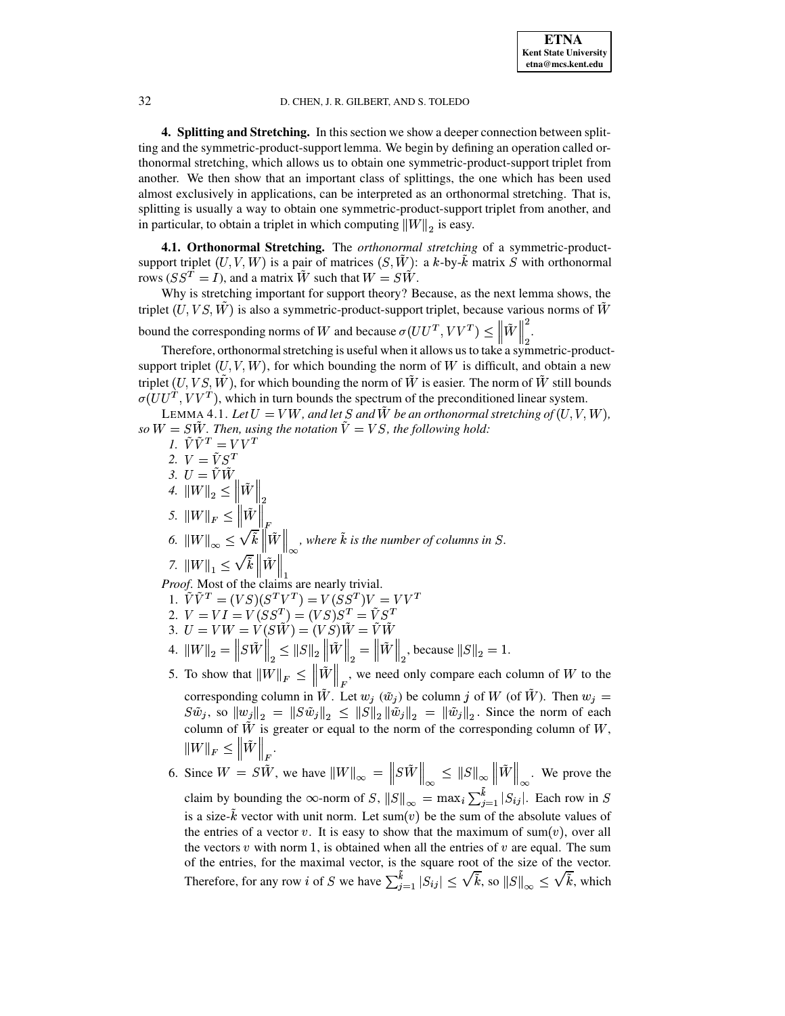<span id="page-4-0"></span>4. Splitting and Stretching. In this section we show a deeper connection between splitting and the symmetric-product-support lemma. We begin by defining an operation called orthonormal stretching, which allows us to obtain one symmetric-product-support triplet from another. We then show that an important class of splittings, the one which has been used almost exclusively in applications, can be interpreted as an orthonormal stretching. That is, splitting is usually a way to obtain one symmetric-product-support triplet from another, and in particular, to obtain a triplet in which computing  $||W||_2$  is easy.

4.1. Orthonormal Stretching. The orthonormal stretching of a symmetric-productsupport triplet  $(U, V, W)$  is a pair of matrices  $(S, \tilde{W})$ : a k-by- $\tilde{k}$  matrix S with orthonormal rows ( $SS^T = I$ ), and a matrix  $\tilde{W}$  such that  $W = S\tilde{W}$ .

Why is stretching important for support theory? Because, as the next lemma shows, the triplet  $(U, VS, W)$  is also a symmetric-product-support triplet, because various norms of  $\tilde{W}$ bound the corresponding norms of W and because  $\sigma(UU^T, VV^T) \leq \|\tilde{W}\|_{2}^2$ .

Therefore, orthonormal stretching is useful when it allows us to take a symmetric-productsupport triplet  $(U, V, W)$ , for which bounding the norm of W is difficult, and obtain a new triplet  $(U, VS, W)$ , for which bounding the norm of W is easier. The norm of W still bounds  $\sigma(UU^T, VV^T)$ , which in turn bounds the spectrum of the preconditioned linear system.

LEMMA 4.1. Let  $U = VW$ , and let S and  $\hat{W}$  be an orthonormal stretching of  $(U, V, W)$ , so  $W = SW$ . Then, using the notation  $\tilde{V} = VS$ , the following hold:

*I*.  $\tilde{V}\tilde{V}^T = V V^T$ 2.  $V = \tilde{V}S^T$ 3.  $U = \tilde{V} \tilde{W}$ <br>4.  $||W||_2 \le ||\tilde{W}||_2$ 5.  $\|W\|_F \le \left\|\tilde{W}\right\|_F^2$ <br>6.  $\|W\|_{\infty} \le \sqrt{\tilde{k}} \left\|\tilde{W}\right\|_{\infty}$ , where  $\tilde{k}$  is the number of columns in S. 7.  $\|W\|_1 \leq \sqrt{\tilde{k}} \left\| \tilde{W} \right\|_1$ 

<span id="page-4-1"></span>Proof. Most of the claims are nearly trivial.

- 1.  $\tilde{V}\tilde{V}^T = (VS)(S^TV^T) = V(SS^T)V = VV^T$ <br>
2.  $V = VI = V(SS^T) = (VS)S^T = \tilde{V}S^T$
- 
- 
- 3.  $U = VW = V(S\tilde{W}) = (VS)\tilde{W} = V\tilde{W}$ <br>
4.  $||W||_2 = ||S\tilde{W}||_2 \le ||S||_2 ||\tilde{W}||_2 = ||\tilde{W}||_2$ , because  $||S||_2 = 1$ .
- 5. To show that  $\|\tilde{W}\|_F \le \|\tilde{W}\|_F$ , we need only compare each column of W to the corresponding column in  $\tilde{W}$ . Let  $w_i$  ( $\tilde{w}_i$ ) be column j of W (of  $\tilde{W}$ ). Then  $w_i$  =  $S\tilde{w}_j$ , so  $||w_j||_2 = ||S\tilde{w}_j||_2 \leq ||S||_2 ||\tilde{w}_j||_2 = ||\tilde{w}_j||_2$ . Since the norm of each column of  $\tilde{W}$  is greater or equal to the norm of the corresponding column of W,  $\|W\|_F \leq \|\tilde{W}\|_F.$
- 6. Since  $W = S\tilde{W}$ , we have  $||W||_{\infty} = ||S\tilde{W}||_{\infty} \le ||S||_{\infty} ||\tilde{W}||_{\infty}$ . We prove the claim by bounding the  $\infty$ -norm of S,  $||S||_{\infty} = \max_i \sum_{j=1}^k |S_{ij}|$ . Each row in S is a size-k vector with unit norm. Let sum(v) be the sum of the absolute values of the entries of a vector v. It is easy to show that the maximum of sum(v), over all the vectors  $v$  with norm 1, is obtained when all the entries of  $v$  are equal. The sum of the entries, for the maximal vector, is the square root of the size of the vector. Therefore, for any row *i* of S we have  $\sum_{i=1}^{\tilde{k}} |S_{ij}| \leq \sqrt{\tilde{k}}$ , so  $||S||_{\infty} \leq \sqrt{\tilde{k}}$ , which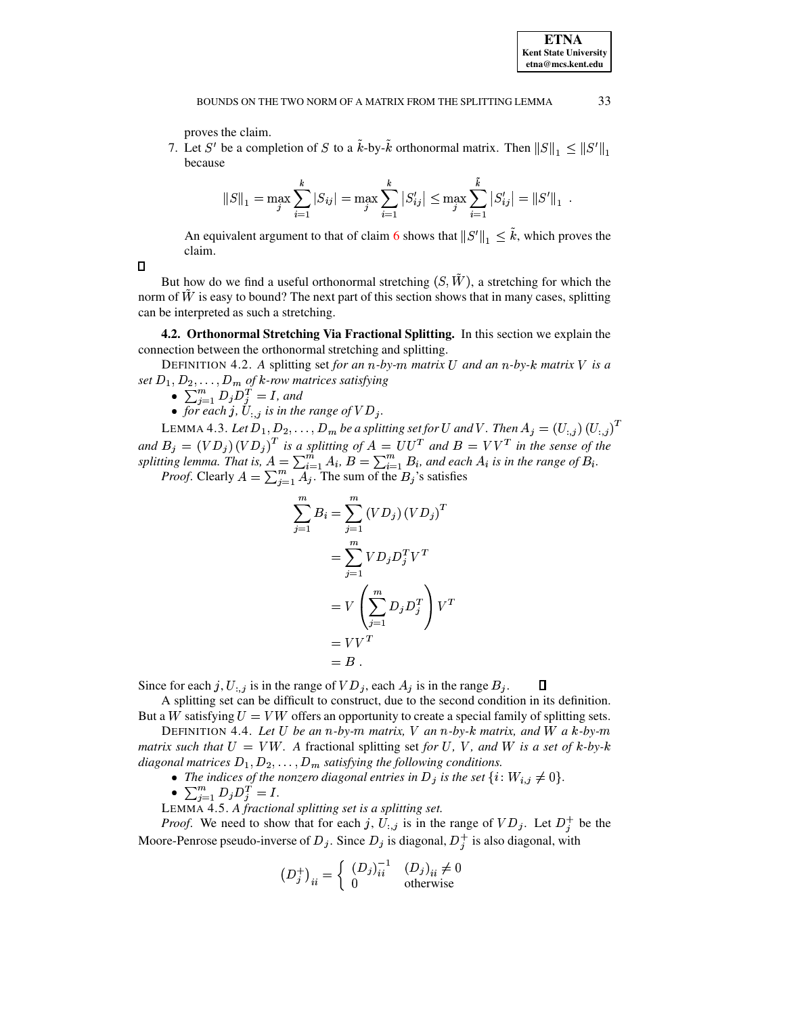proves the claim.

7. Let S' be a completion of S to a  $\hat{k}$ -by- $\hat{k}$  orthonormal matrix. Then  $||S||_1 \le ||S||_1$ because

$$
||S||_1 = \max_j \sum_{i=1}^k |S_{ij}| = \max_j \sum_{i=1}^k |S'_{ij}| \le \max_j \sum_{i=1}^{\tilde{k}} |S'_{ij}| = ||S'||_1.
$$

An equivalent argument to that of claim 6 shows that  $||S'||_1 \leq \tilde{k}$ , which proves the claim.

 $\Box$ 

But how do we find a useful orthonormal stretching  $(S, \tilde{W})$ , a stretching for which the norm of W is easy to bound? The next part of this section shows that in many cases, splitting can be interpreted as such a stretching.

**4.2. Orthonormal Stretching Via Fractional Splitting.** In this section we explain the connection between the orthonormal stretching and splitting.

DEFINITION 4.2. A splitting set for an n-by-m matrix U and an n-by-k matrix V is a set  $D_1, D_2, ..., D_m$  of k-row matrices satisfying<br>  $\bullet \sum_{j=1}^m D_j D_j^T = I$ , and<br>  $\bullet$  for each j,  $U_{:,j}$  is in the range of  $VD_j$ .

- 
- 

LEMMA 4.3. Let  $D_1, D_2, ..., D_m$  be a splitting set for U and V. Then  $A_j = (U_{:,j})(U_{:,j})^T$ <br>and  $B_j = (VD_j)(VD_j)^T$  is a splitting of  $A = UU^T$  and  $B = VV^T$  in the sense of the<br>splitting lemma. That is,  $A = \sum_{i=1}^m A_i$ ,  $B = \sum_{i=1}^m B_i$ 

$$
\sum_{j=1}^{m} B_i = \sum_{j=1}^{m} (VD_j) (VD_j)^T
$$

$$
= \sum_{j=1}^{m} V D_j D_j^T V^T
$$

$$
= V \left( \sum_{j=1}^{m} D_j D_j^T \right) V^T
$$

$$
= V V^T
$$

$$
= B
$$

Since for each j,  $U_{i,j}$  is in the range of  $VD_j$ , each  $A_j$  is in the range  $B_j$ . Д

A splitting set can be difficult to construct, due to the second condition in its definition. But a W satisfying  $U = VW$  offers an opportunity to create a special family of splitting sets.

DEFINITION 4.4. Let U be an n-by-m matrix, V an n-by-k matrix, and W a k-by-m matrix such that  $U = VW$ . A fractional splitting set for U, V, and W is a set of k-by-k diagonal matrices  $D_1, D_2, \ldots, D_m$  satisfying the following conditions.

- The indices of the nonzero diagonal entries in  $D_j$  is the set  $\{i: W_{i,j} \neq 0\}$ .
- $\sum_{j=1}^{m} D_j D_j^{\underline{T}} = I.$

LEMMA 4.5. A fractional splitting set is a splitting set.

*Proof.* We need to show that for each j,  $U_{:,j}$  is in the range of  $VD_j$ . Let  $D_j^+$  be the Moore-Penrose pseudo-inverse of  $D_j$ . Since  $D_j$  is diagonal,  $D_j^+$  is also diagonal, with

$$
(D_j^+)_i = \begin{cases} (D_j)^{-1}_i & (D_j)_{ii} \neq 0\\ 0 & \text{otherwise} \end{cases}
$$

33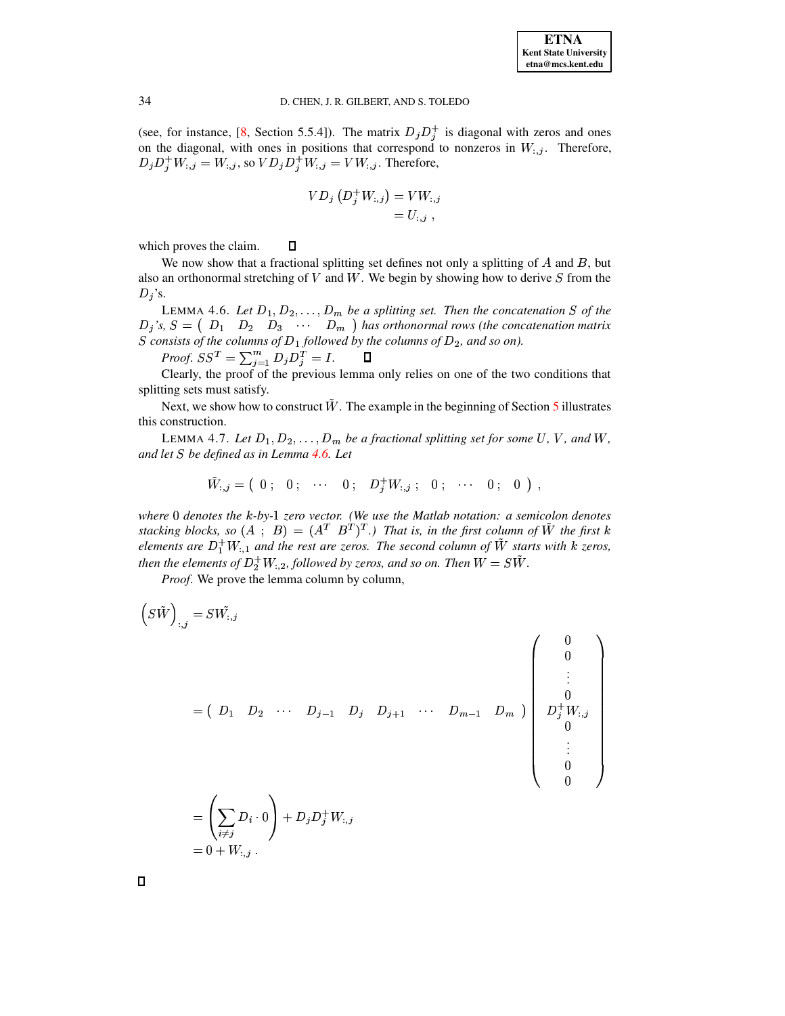(see, for instance, [8, Section 5.5.4]). The matrix  $D_j D_j^+$  is diagonal with zeros and ones on the diagonal, with ones in positions that correspond to nonzeros in  $W_{:,j}$ . Therefore,  $D_j D_j^+ W_{:,j} = W_{:,j}$ , so  $VD_j D_j^+ W_{:,j} = VW_{:,j}$ . Therefore,

$$
VD_{j} (D_j^+ W_{:,j}) = VW_{:,j} = U_{:,j} ,
$$

which proves the claim.  $\Box$ 

We now show that a fractional splitting set defines not only a splitting of  $A$  and  $B$ , but also an orthonormal stretching of  $V$  and  $W$ . We begin by showing how to derive  $S$  from the  $D_i$ 's.

<span id="page-6-0"></span>LEMMA 4.6. Let  $D_1, D_2, \ldots, D_m$  be a splitting set. Then the concatenation S of the  $D_j$ 's,  $S = \begin{pmatrix} D_1 & D_2 & D_3 & \cdots & D_m \end{pmatrix}$  has orthonormal rows (the concatenation matrix S consists of the columns of  $D_1$  followed by the columns of  $D_2$ , and so on).

*Proof.*  $SS^T = \sum_{j=1}^m D_j D_j^T = I$ .

Clearly, the proof of the previous lemma only relies on one of the two conditions that splitting sets must satisfy.

Next, we show how to construct  $W$ . The example in the beginning of Section 5 illustrates this construction.

<span id="page-6-1"></span>LEMMA 4.7. Let  $D_1, D_2, \ldots, D_m$  be a fractional splitting set for some U, V, and W, and let S be defined as in Lemma 4.6. Let

$$
\tilde{W}_{:,j} = \left( \begin{array}{cccccc} 0 \; ; & 0 \; ; & \cdots & 0 \; ; & D_{j}^{+}W_{:,j} \; ; & 0 \; ; & \cdots & 0 \; ; & 0 \end{array} \right).
$$

where  $0$  denotes the  $k$ -by-1 zero vector. (We use the Matlab notation: a semicolon denotes stacking blocks, so  $(A ; B) = (A^T B^T)^T$ .) That is, in the first column of  $\tilde{W}$  the first k elements are  $D_1^+W_{1,1}$  and the rest are zeros. The second column of  $\tilde{W}$  starts with k zeros, then the elements of  $D_2^+W_{1,2}$ , followed by zeros, and so on. Then  $W = S\tilde{W}$ .

*Proof.* We prove the lemma column by column,

$$
(S\tilde{W})_{:,j} = SW_{:,j}
$$
\n
$$
= (D_1 \ D_2 \ \cdots \ D_{j-1} \ D_j \ D_{j+1} \ \cdots \ D_{m-1} \ D_m) \begin{pmatrix} 0 \\ 0 \\ \vdots \\ 0 \\ D_j^+ W_{:,j} \\ 0 \\ \vdots \\ 0 \\ 0 \end{pmatrix}
$$
\n
$$
= \left(\sum_{i \neq j} D_i \cdot 0\right) + D_j D_j^+ W_{:,j}
$$
\n
$$
= 0 + W_{:,j}.
$$

 $\Box$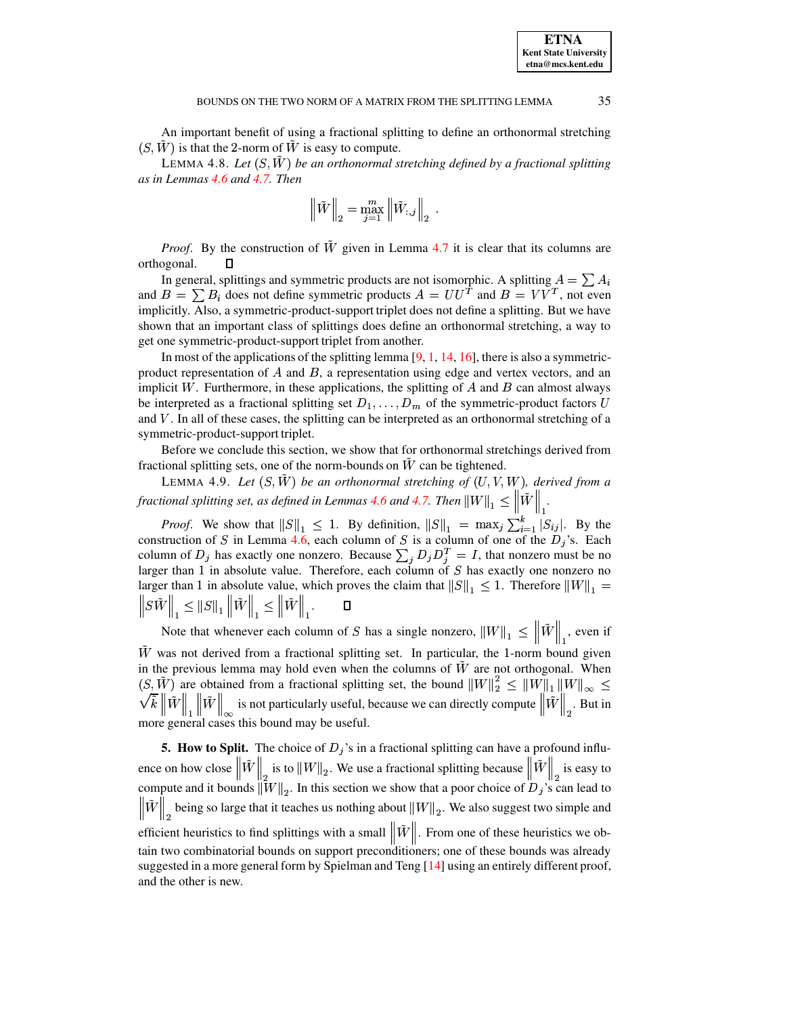<sup>Ð</sup>

<sup>Ð</sup>

An important benefit of using a fractional splitting to define an orthonormal stretching  $(S, \tilde{W})$  is that the 2-norm of  $\tilde{W}$  is easy to compute.

**LEMMA 4.8.** Let  $(S, \hat{W})$  be an orthonormal stretching defined by a fractional splitting *as in Lemmas [4.6](#page-6-0) and [4.7.](#page-6-1) Then*

$$
\left\|\tilde{W}\right\|_2 = \max_{j=1}^m \left\|\tilde{W}_{:,j}\right\|_2.
$$

*Proof.* By the construction of  $\tilde{W}$  given in Lemma [4.7](#page-6-1) it is clear that its columns are orthogonal. П

In general, splittings and symmetric products are not isomorphic. A splitting  $A = \sum A_i$ and  $B = \sum B_i$  does not define symmetric products  $A = U U^T$  and  $B = V V^T$ , not even implicitly. Also, a symmetric-product-support triplet does not define a splitting. But we have shown that an important class of splittings does define an orthonormal stretching, a way to get one symmetric-product-support triplet from another.

In most of the applications of the splitting lemma  $[9, 1, 14, 16]$  $[9, 1, 14, 16]$  $[9, 1, 14, 16]$  $[9, 1, 14, 16]$  $[9, 1, 14, 16]$  $[9, 1, 14, 16]$  $[9, 1, 14, 16]$ , there is also a symmetricproduct representation of  $A$  and  $B$ , a representation using edge and vertex vectors, and an implicit W. Furthermore, in these applications, the splitting of  $A$  and  $B$  can almost always be interpreted as a fractional splitting set  $D_1, \ldots, D_m$  of the symmetric-product factors U and  $V$ . In all of these cases, the splitting can be interpreted as an orthonormal stretching of a symmetric-product-support triplet.

Before we conclude this section, we show that for orthonormal stretchings derived from fractional splitting sets, one of the norm-bounds on  $\tilde{W}$  can be tightened.

LEMMA 4.9. Let  $(S, \tilde{W})$  be an orthonormal stretching of  $(U, V, W)$ , derived from a *fractional splitting set, as defined in Lemmas [4.6](#page-6-0) and [4.7.](#page-6-1) Then*  $\|W\|_{1} \leq \|W\|$  *.* 

*Proof.* We show that  $||S||_1 \leq 1$ . By definition,  $||S||_1 = \max_j \sum_{i=1}^k |S_{ij}|$ . By the construction of S in Lemma [4.6,](#page-6-0) each column of S is a column of one of the  $D_i$ 's. Each column of  $D_i$  has exactly one nonzero. Because  $\sum_i D_i D_i^T = I$ , that nonzero must be no larger than 1 in absolute value. Therefore, each column of  $S$  has exactly one nonzero no larger than 1 in absolute value, which proves the claim that  $||S||_1 \leq 1$ . Therefore  $||W||_1 =$  $\left\|SW\right\|_1 \leq \left\|S\right\|_1 \left\|W\right\|_1 \leq \left\|W\right\|_1.$ 

 $\mathbf{H}$ Note that whenever each column of S has a single nonzero,  $||W||_1 \leq ||W||$ , even if <sup>Ð</sup>  $\tilde{W}$  was not derived from a fractional splitting set. In particular, the 1-norm bound given <sup>Ð</sup> in the previous lemma may hold even when the columns of  $\tilde{W}$  are not orthogonal. When  $(S, W)$  are obtained from a fractional splitting set, the bound  $||W||_2^2 \le ||W||_1 ||W||_{\infty} \le$  $\mathcal{N}k \|W\|_{1} \|W\|_{2}$  is not particularly useful, because we can directly compute  $\|W\|_{2}$ . But in more general cases this bound may be useful.

<span id="page-7-0"></span>**5. How to Split.** The choice of  $D_j$ 's in a fractional splitting can have a profound influence on how close  $\|W\|_2$  is to  $\|W\|$ is to  $\|W\|_2$ . We use a fractional splitting because  $\|W\|_2$  is easy is easy to compute and it bounds  $||W||_2$ . In this section we show that a poor choice of  $D_j$ 's can lead to  $\|W\|_2$  being so large that it teaches us nothing about  $\|W\|_2$ . We also suggest two simple and efficient heuristics to find splittings with a small  $||W||$ . From one of these heuristics we ob- $\mathbb{E}$  and the combinatorial bounds on support preconditioners; one of these bounds was already suggested in a more general form by Spielman and Teng [\[14\]](#page-18-2) using an entirely different proof, and the other is new.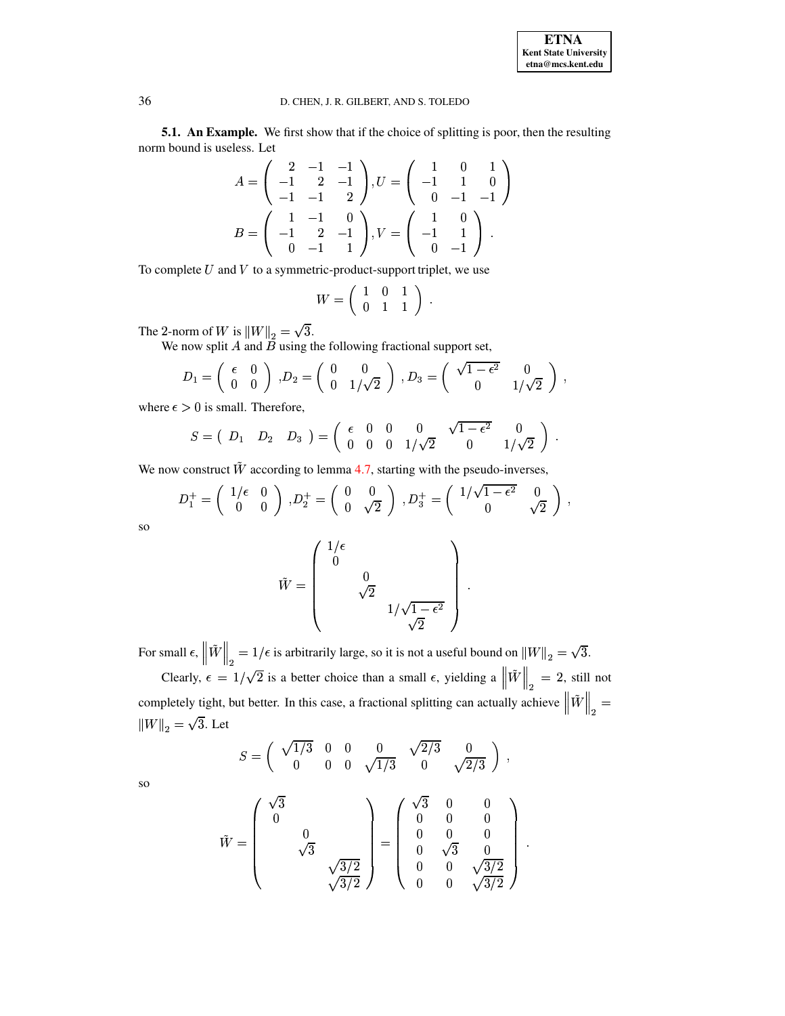**ETNA Kent State University etna@mcs.kent.edu**

and the state of the state of the state of

## 36 D. CHEN, J. R. GILBERT, AND S. TOLEDO

**5.1. An Example.** We first show that if the choice of splitting is poor, then the resulting norm bound is useless. Let

$$
A = \begin{pmatrix} 2 & -1 & -1 \\ -1 & 2 & -1 \\ -1 & -1 & 2 \end{pmatrix}, U = \begin{pmatrix} 1 & 0 & 1 \\ -1 & 1 & 0 \\ 0 & -1 & -1 \end{pmatrix}
$$

$$
B = \begin{pmatrix} 1 & -1 & 0 \\ -1 & 2 & -1 \\ 0 & -1 & 1 \end{pmatrix}, V = \begin{pmatrix} 1 & 0 \\ -1 & 1 \\ 0 & -1 \end{pmatrix}.
$$

To complete  $U$  and  $V$  to a symmetric-product-support triplet, we use

$$
W = \left(\begin{array}{ccc} 1 & 0 & 1 \\ 0 & 1 & 1 \end{array}\right) \; .
$$

The 2-norm of W is  $||W||_2 = \sqrt{3}$ .

We now split  $A$  and  $B$  using the following fractional support set,

$$
D_1 = \begin{pmatrix} \epsilon & 0 \\ 0 & 0 \end{pmatrix}, D_2 = \begin{pmatrix} 0 & 0 \\ 0 & 1/\sqrt{2} \end{pmatrix}, D_3 = \begin{pmatrix} \sqrt{1-\epsilon^2} & 0 \\ 0 & 1/\sqrt{2} \end{pmatrix},
$$

where  $\epsilon > 0$  is small. Therefore,

$$
S = \left( \begin{array}{cccc} D_1 & D_2 & D_3 \end{array} \right) = \left( \begin{array}{cccc} \epsilon & 0 & 0 & 0 & \sqrt{1-\epsilon^2} & 0 \\ 0 & 0 & 0 & 1/\sqrt{2} & 0 & 1/\sqrt{2} \end{array} \right) \; .
$$

We now construct  $\tilde{W}$  according to lemma [4.7,](#page-6-1) starting with the pseudo-inverses,

$$
D_1^+ = \begin{pmatrix} 1/\epsilon & 0 \\ 0 & 0 \end{pmatrix} , D_2^+ = \begin{pmatrix} 0 & 0 \\ 0 & \sqrt{2} \end{pmatrix} , D_3^+ = \begin{pmatrix} 1/\sqrt{1-\epsilon^2} & 0 \\ 0 & \sqrt{2} \end{pmatrix} ,
$$

so

$$
\tilde{W} = \begin{pmatrix} 1/\epsilon \\ 0 \\ 0 \\ \sqrt{2} \\ 1/\sqrt{1-\epsilon^2} \\ \sqrt{2} \end{pmatrix}.
$$

For small  $\epsilon, \left\|W\right\|_2 = 1/\epsilon$  is arbitrarily large, so it is not a useful bound on  $\left\|W\right\|_2 = \sqrt{3}.$  $\mathbb{D}$   $\mathbb{D}$   $\mathbb{D}$   $\mathbb{D}$ 

Clearly,  $\epsilon = 1/\sqrt{2}$  is a better choice than a small  $\epsilon$ , yielding a  $||W||_2 = 2$ , still not completely tight, but better. In this case, a fractional splitting can actually achieve  $\|W\|_2 =$ <sup>Ð</sup> <sup>Ð</sup>  $\|W\|_2 = \sqrt{3}$ . Let

$$
S = \begin{pmatrix} \sqrt{1/3} & 0 & 0 & 0 & \sqrt{2/3} & 0 \\ 0 & 0 & 0 & \sqrt{1/3} & 0 & \sqrt{2/3} \end{pmatrix},
$$

so

$$
\tilde{W} = \begin{pmatrix} \sqrt{3} & & & \\ 0 & & & \\ & 0 & & \\ & & \sqrt{3} & \\ & & & \sqrt{3/2} \\ & & & & \sqrt{3/2} \end{pmatrix} = \begin{pmatrix} \sqrt{3} & 0 & 0 & \\ 0 & 0 & 0 & \\ 0 & 0 & 0 & \\ 0 & \sqrt{3} & 0 & \\ 0 & 0 & \sqrt{3/2} & \\ 0 & 0 & 0 & \sqrt{3/2} \end{pmatrix}.
$$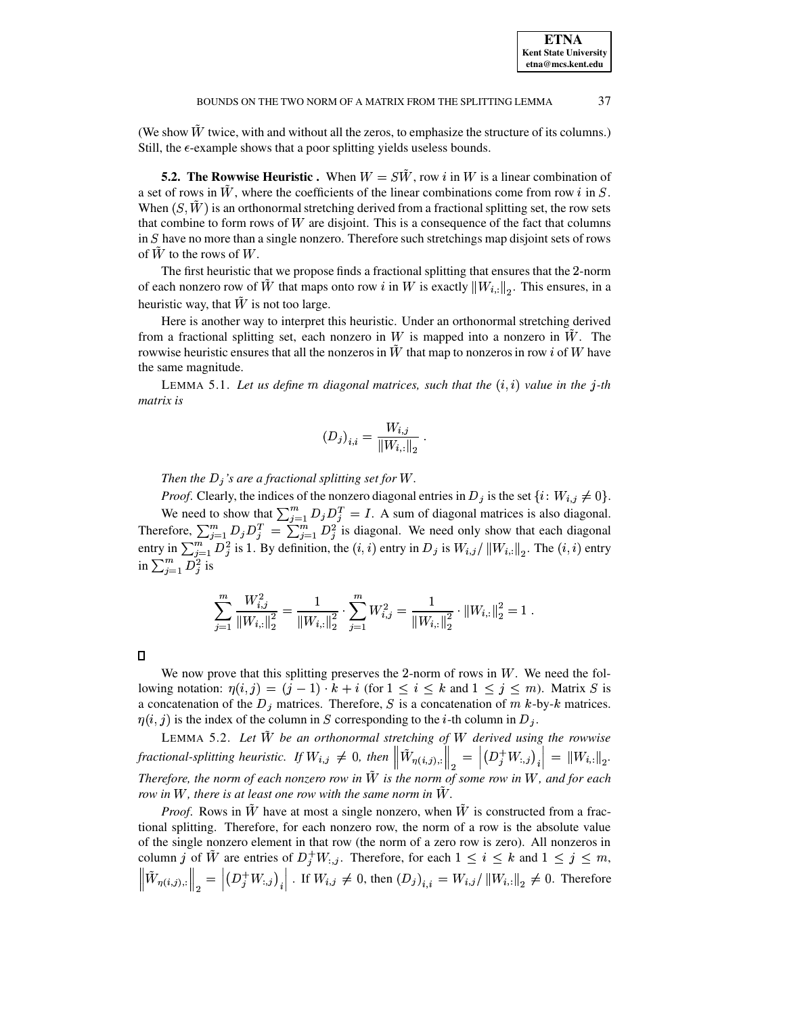(We show  $W$  twice, with and without all the zeros, to emphasize the structure of its columns.) Still, the  $\epsilon$ -example shows that a poor splitting yields useless bounds.

**5.2.** The Rowwise Heuristic . When  $W = S\tilde{W}$ , row i in W is a linear combination of a set of rows in W, where the coefficients of the linear combinations come from row  $i$  in  $S$ . When  $(S, \tilde{W})$  is an orthonormal stretching derived from a fractional splitting set, the row sets that combine to form rows of  $W$  are disjoint. This is a consequence of the fact that columns in  $S$  have no more than a single nonzero. Therefore such stretchings map disjoint sets of rows of  $\tilde{W}$  to the rows of  $W$ .

The first heuristic that we propose finds a fractional splitting that ensures that the 2-norm of each nonzero row of W that maps onto row i in W is exactly  $||W_{i}||_2$ . This ensures, in a heuristic way, that  $\tilde{W}$  is not too large.

Here is another way to interpret this heuristic. Under an orthonormal stretching derived from a fractional splitting set, each nonzero in W is mapped into a nonzero in  $\hat{W}$ . The rowwise heuristic ensures that all the nonzeros in  $\ddot{W}$  that map to nonzeros in row i of W have the same magnitude.

<span id="page-9-1"></span>LEMMA 5.1. Let us define m diagonal matrices, such that the  $(i, i)$  value in the j-th *matrix is*

$$
(D_j)_{i,i} = \frac{W_{i,j}}{\|W_{i,:}\|_2} \; .
$$

*Then the*  $D_j$ 's are a fractional splitting set for W.

*Proof.* Clearly, the indices of the nonzero diagonal entries in  $D_j$  is the set  $\{i: W_{i,j} \neq 0\}$ . We need to show that  $\sum_{i=1}^{m} D_i D_i^T = I$ . A sum of diagonal matrices is also diagonal. Therefore,  $\sum_{i=1}^m D_i D_i^T = \sum_{i=1}^m D_i^2$  is diagonal. We need only show that each diagonal entry in  $\sum_{i=1}^{n} D_i^2$  is 1. By definition, the  $(i, i)$  entry in  $D_i$  is  $W_{i,j}/||W_{i,:}||_2$ . The  $(i, i)$  entry in  $\sum_{i=1}^m D_i^2$  is

$$
\sum_{j=1}^m \frac{W_{i,j}^2}{\left\|W_{i,:}\right\|_2^2} = \frac{1}{\left\|W_{i,:}\right\|_2^2} \cdot \sum_{j=1}^m W_{i,j}^2 = \frac{1}{\left\|W_{i,:}\right\|_2^2} \cdot \left\|W_{i,:}\right\|_2^2 = 1 \; .
$$

 $\Box$ 

We now prove that this splitting preserves the 2-norm of rows in  $W$ . We need the following notation:  $\eta(i,j) = (j-1) \cdot k + i$  (for  $1 \le i \le k$  and  $1 \le j \le m$ ). Matrix *S* is a concatenation of the  $D_j$  matrices. Therefore, S is a concatenation of  $m$  k-by-k matrices.  $\eta(i, j)$  is the index of the column in S corresponding to the *i*-th column in  $D_j$ .

<span id="page-9-0"></span>LEMMA 5.2. *Let* UÛ *be an orthonormal stretching of* <sup>U</sup> *derived using the rowwise fractional-splitting heuristic. If*  $W_{i,j} \neq 0$ , then  $\left\| W_{\eta(i,j),:} \right\|_2 = \left| \left( D_j^+ W_{:,j} \right)_i \right| =$ <br>Therefore, the norm of each nonzero row in  $\tilde{W}$  is the norm of some row in W, and Therefore, the norm of each nonzero row in  $W$  is the norm of some row in  $W$ , and for each  $\vert \text{ } = \Vert W_{i,:} \Vert_2.$ <br>and for each 2<sup>\*</sup> *row* in  $W$ , there is at least one row with the same norm in  $W$ .

*Proof.* Rows in W have at most a single nonzero, when  $\tilde{W}$  is constructed from a fractional splitting. Therefore, for each nonzero row, the norm of a row is the absolute value of the single nonzero element in that row (the norm of a zero row is zero). All nonzeros in column j of W are entries of  $D_j^+W_{:,j}$ . Therefore, for each  $1 \leq i \leq k$  and  $1 \leq j \leq m$ ,  $\|W_{\eta(i,j),:}\|_2 = \left|\left(D_j^+W_{:,j}\right)_{i}\right|$ . If  $W_{i,j} \neq 0$ , then  $(D_j)_{i,i} = W_{i,j}/\left\|W_{i,:}\right\|_2 \neq 0$ . Therefore De en stoffens og stoffens og stoffens og stoffens og stoffens og stoffens og stoffens og stoffens og stoffens <sup>Ð</sup> <sup>ï</sup> <sup>ï</sup>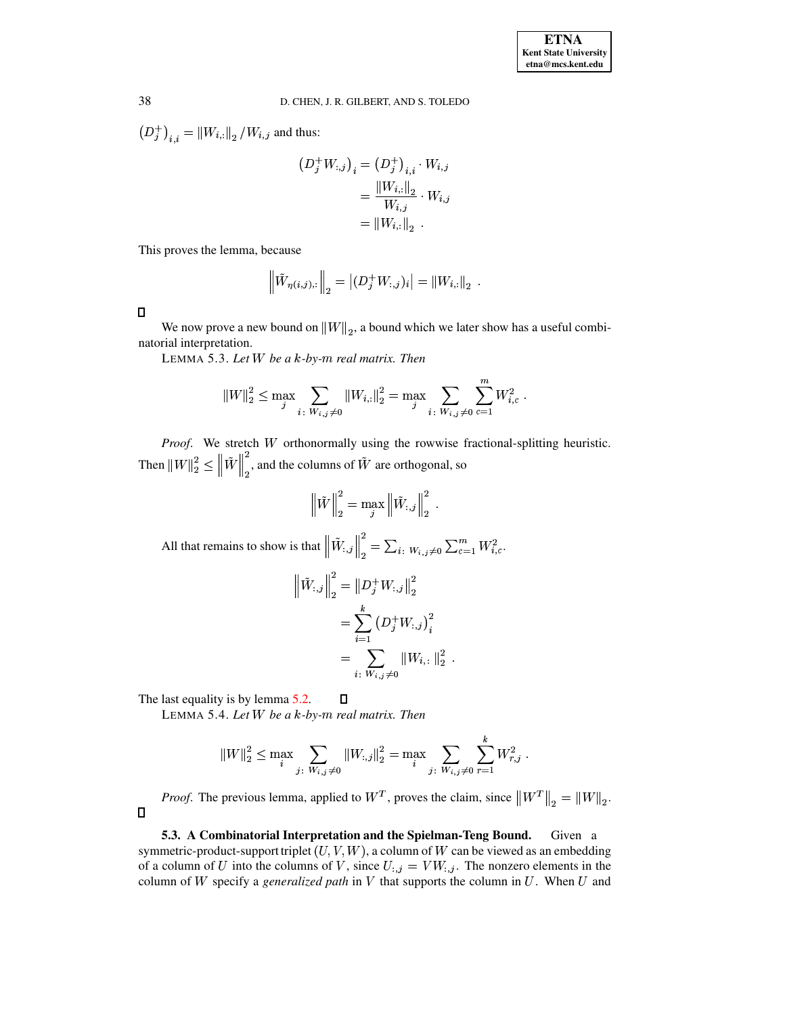$\left(D_j^+\right)_{i,i} = \left\|W_{i,:}\right\|_2/W_{i,j}$  and thus:

$$
(D_j^+ W_{:,j})_i = (D_j^+)_{i,i} \cdot W_{i,j} = \frac{\|W_{i,:}\|_2}{W_{i,j}} \cdot W_{i,j} = \|W_{i,:}\|_2.
$$

This proves the lemma, because

$$
\left\| \tilde{W}_{\eta(i,j),:} \right\|_2 = \left| (D_j^+ W_{:,j})_i \right| = \left\| W_{i,:} \right\|_2.
$$

 $\Box$ 

 $\Box$ 

<span id="page-10-0"></span>We now prove a new bound on  $||W||_2$ , a bound which we later show has a useful combinatorial interpretation.

LEMMA 5.3. *Let* <sup>U</sup> *be a* ¤*-by-*¡ *real matrix. Then*

$$
\left\|W\right\|_2^2 \leq \max_j \sum_{i \colon W_{i,j} \neq 0} \left\|W_{i,:}\right\|_2^2 = \max_j \sum_{i \colon W_{i,j} \neq 0} \sum_{c=1}^m W_{i,c}^2 \; .
$$

Proof. We stretch W orthonormally using the rowwise fractional-splitting heuristic. Then  $\|W\|_2^2 \leq \|W\|_2^2$ , and the columns of  $W$  are orthogonal, so

.

$$
\left\|\tilde{W}\right\|_{2}^{2} = \max_{j} \left\|\tilde{W}_{:,j}\right\|_{2}^{2}.
$$
  
All that remains to show is that 
$$
\left\|\tilde{W}_{:,j}\right\|_{2}^{2} = \sum_{i} \sum_{w_{i,j} \neq 0} \sum_{c=1}^{m} W_{i,c}^{2}.
$$

$$
\left\|\tilde{W}_{:,j}\right\|_{2}^{2} = \left\|D_{j}^{+} W_{:,j}\right\|_{2}^{2}
$$

$$
= \sum_{i=1}^{k} \left(D_{j}^{+} W_{:,j}\right)_{i}^{2}
$$

$$
= \sum_{i} \sum_{w_{i,j} \neq 0} \left\|W_{i,:}\right\|_{2}^{2}.
$$

 $\Box$ 

<span id="page-10-1"></span>The last equality is by lemma [5.2.](#page-9-0)

<sup>Ð</sup> <sup>Ð</sup>

LEMMA 5.4. *Let* <sup>U</sup> *be a* ¤*-by-*¡ *real matrix. Then*

$$
||W||_2^2 \leq \max_i \sum_{j \colon W_{i,j} \neq 0} ||W_{:,j}||_2^2 = \max_i \sum_{j \colon W_{i,j} \neq 0} \sum_{r=1}^k W_{r,j}^2.
$$

*Proof.* The previous lemma, applied to  $W<sup>T</sup>$ , proves the claim, since  $||W<sup>T</sup>||_2 = ||W||_2$ .

**5.3. A Combinatorial Interpretation and the Spielman-Teng Bound.** Given a symmetric-product-support triplet  $(U, V, W)$ , a column of W can be viewed as an embedding of a column of U into the columns of V, since  $U_{:,j} = VW_{:,j}$ . The nonzero elements in the column of  $W$  specify a *generalized path* in  $V$  that supports the column in  $U$ . When  $U$  and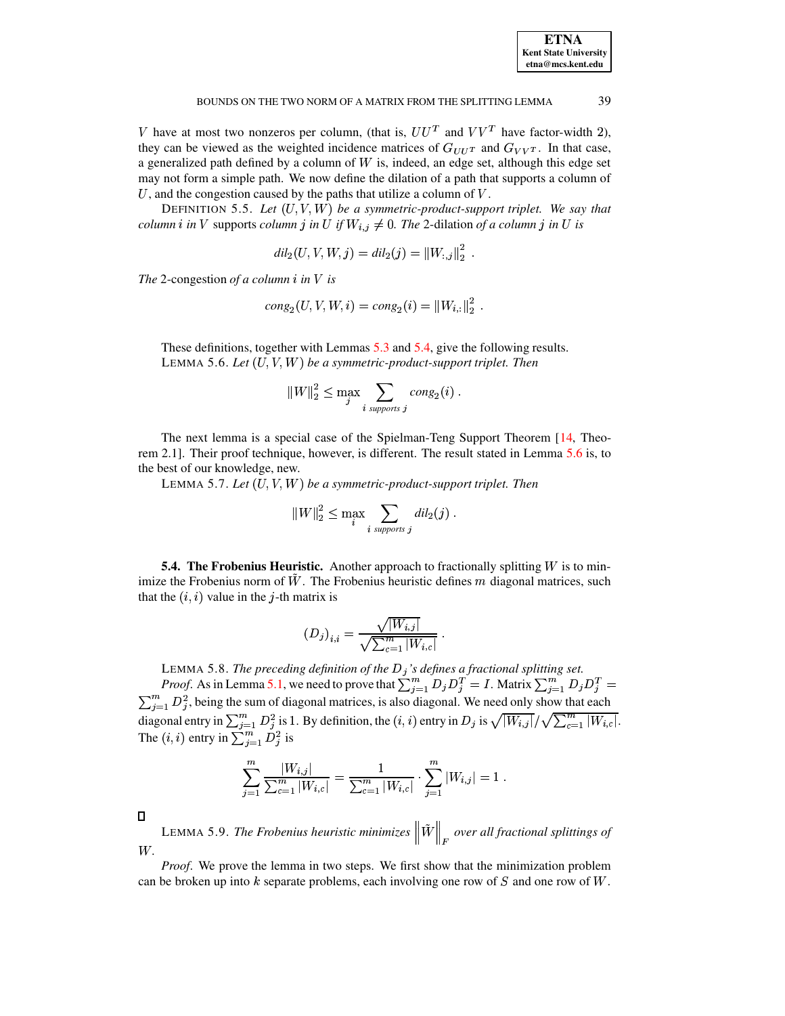| <b>ETNA</b>                  |
|------------------------------|
| <b>Kent State University</b> |
| etna@mcs.kent.edu            |

39

V have at most two nonzeros per column, (that is,  $UU^T$  and  $VV^T$  have factor-width 2), they can be viewed as the weighted incidence matrices of  $G_{UU^T}$  and  $G_{VV^T}$ . In that case, a generalized path defined by a column of  $W$  is, indeed, an edge set, although this edge set may not form a simple path. We now define the dilation of a path that supports a column of U, and the congestion caused by the paths that utilize a column of  $V$ .

DEFINITION 5.5. Let  $(U, V, W)$  be a symmetric-product-support triplet. We say that *column i in V* supports *column j in U if*  $W_{i,j} \neq 0$ . The 2-dilation of a column j in U is

$$
dil_2(U, V, W, j) = dil_2(j) = ||W_{:,j}||_2^2
$$

The 2-congestion of a column  $i$  in  $V$  is

$$
cong_2(U, V, W, i) = cong_2(i) = ||W_{i,:}||_2^2
$$
.

<span id="page-11-0"></span>These definitions, together with Lemmas 5.3 and 5.4, give the following results. LEMMA 5.6. Let  $(U, V, W)$  be a symmetric-product-support triplet. Then

$$
||W||_2^2 \le \max_j \sum_{i \text{ supports } j} \text{cong}_2(i) .
$$

<span id="page-11-1"></span>The next lemma is a special case of the Spielman-Teng Support Theorem [14, Theorem 2.1. Their proof technique, however, is different. The result stated in Lemma 5.6 is, to the best of our knowledge, new.

LEMMA 5.7. Let  $(U, V, W)$  be a symmetric-product-support triplet. Then

$$
||W||_2^2 \leq \max_i \sum_{i \text{ supports } j} \, dil_2(j) \, .
$$

**5.4. The Frobenius Heuristic.** Another approach to fractionally splitting  $W$  is to minimize the Frobenius norm of  $W$ . The Frobenius heuristic defines  $m$  diagonal matrices, such that the  $(i, i)$  value in the j-th matrix is

$$
(D_j)_{i,i} = \frac{\sqrt{|W_{i,j}|}}{\sqrt{\sum_{c=1}^m |W_{i,c}|}}
$$

LEMMA 5.8. The preceding definition of the  $D_j$ 's defines a fractional splitting set.<br>Proof. As in Lemma 5.1, we need to prove that  $\sum_{j=1}^{m} D_j D_j^T = I$ . Matrix  $\sum_{j=1}^{m} D_j D_j^T = \sum_{j=1}^{m} D_j^2$ , being the sum of diagonal diagonal entry in  $\sum_{j=1}^{m} D_j^2$  is 1. By definition, the  $(i, i)$  entry in  $D_j$  is  $\sqrt{|W_{i,j}|}/\sqrt{\sum_{c=1}^{m} |W_{i,c}|}$ .<br>The  $(i, i)$  entry in  $\sum_{j=1}^{m} D_j^2$  is

$$
\sum_{j=1}^m \frac{|W_{i,j}|}{\sum_{c=1}^m |W_{i,c}|} = \frac{1}{\sum_{c=1}^m |W_{i,c}|} \cdot \sum_{j=1}^m |W_{i,j}| = 1.
$$

<span id="page-11-2"></span> $\Box$ 

LEMMA 5.9. The Frobenius heuristic minimizes  $\|\tilde{W}\|_{E}$  over all fractional splittings of W.

*Proof.* We prove the lemma in two steps. We first show that the minimization problem can be broken up into  $k$  separate problems, each involving one row of  $S$  and one row of  $W$ .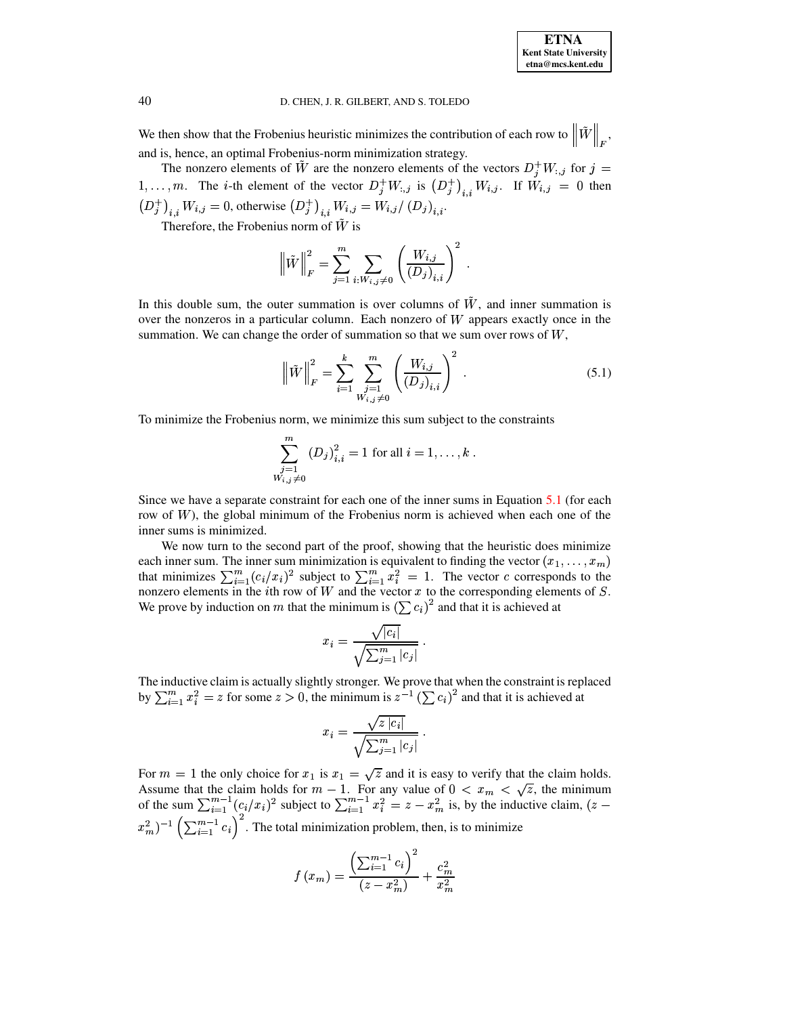We then show that the Frobenius heuristic minimizes the contribution of each row to  $||W||_F$ , <sup>Ð</sup> <sup>Ð</sup> and is, hence, an optimal Frobenius-norm minimization strategy.

The nonzero elements of  $\tilde{W}$  are the nonzero elements of the vectors  $D_j^+W_{:,j}$  for  $j=$  $1,\ldots,m$ . The *i*-th element of the vector  $D_j^+W_{:,j}$  is  $(D_j^+)_{i,j}W_{i,j}$ . If  $W_{i,j} = 0$  then  $(D_j^+)_{i,j} W_{i,j} = 0$ , otherwise  $(D_j^+)_{i,j} W_{i,j} = W_{i,j}/(D_j)_{i,i}$ .

Therefore, the Frobenius norm of  $W$  is

$$
\left\| \tilde{W} \right\|_F^2 = \sum_{j=1}^m \sum_{i: W_{i,j} \neq 0} \left( \frac{W_{i,j}}{(D_j)_{i,i}} \right)^2.
$$

In this double sum, the outer summation is over columns of  $\tilde{W}$ , and inner summation is over the nonzeros in a particular column. Each nonzero of  $W$  appears exactly once in the summation. We can change the order of summation so that we sum over rows of  $W$ .

<span id="page-12-0"></span>
$$
\left\| \tilde{W} \right\|_{F}^{2} = \sum_{i=1}^{k} \sum_{\substack{j=1 \ y_{i,j} \neq 0}}^{m} \left( \frac{W_{i,j}}{(D_{j})_{i,i}} \right)^{2} .
$$
 (5.1)

To minimize the Frobenius norm, we minimize this sum subject to the constraints

$$
\sum_{\substack{j=1 \ y_i,j \neq 0}}^{m} (D_j)_{i,i}^2 = 1 \text{ for all } i = 1, \dots, k .
$$

Since we have a separate constraint for each one of the inner sums in Equation [5.1](#page-12-0) (for each row of  $W$ ), the global minimum of the Frobenius norm is achieved when each one of the inner sums is minimized.

We now turn to the second part of the proof, showing that the heuristic does minimize each inner sum. The inner sum minimization is equivalent to finding the vector  $(x_1, \ldots, x_m)$ that minimizes  $\sum_{i=1}^{m} (c_i/x_i)^2$  subject to  $\sum_{i=1}^{m} x_i^2 = 1$ . The vector c corresponds to the nonzero elements in the *i*th row of W and the vector  $x$  to the corresponding elements of  $S$ . We prove by induction on m that the minimum is  $(\sum c_i)^2$  and that it is achieved at

$$
x_i = \frac{\sqrt{|c_i|}}{\sqrt{\sum_{j=1}^m |c_j|}}.
$$

The inductive claim is actually slightly stronger. We prove that when the constraint is replaced by  $\sum_{i=1}^m x_i^2 = z$  for some  $z > 0$ , the minimum is  $z^{-1} (\sum c_i)^2$  and that it is achieved at

$$
x_i = \frac{\sqrt{z |c_i|}}{\sqrt{\sum_{j=1}^m |c_j|}}.
$$

For  $m = 1$  the only choice for  $x_1$  is  $x_1 = \sqrt{z}$  and it is easy to verify that the claim holds. Assume that the claim holds for  $m-1$ . For any value of  $0 \lt x_m \lt \sqrt{z}$ , the minimum of the sum  $\sum_{i=1}^{m-1} (c_i/x_i)^2$  su  $b_{i=1}^{m-1} (c_i/x_i)^2$  subject to  $\sum_{i=1}^{m-1} x_i^2 = z - 1$  $b_{i=1}^{m-1} x_i^2 = z - x_m^2$  is, by the inductive claim,  $(z - 1)$  $(x_m^2)^{-1}$   $\left(\sum_{i=1}^{m-1} c_i\right)^2$ . The t  $\binom{m-1}{i}$  c<sub>i</sub>). The total minimization problem, then, is to minimize

$$
f\left(x_m\right) = \frac{\left(\sum_{i=1}^{m-1} c_i\right)^2}{\left(z - x_m^2\right)} + \frac{c_m^2}{x_m^2}
$$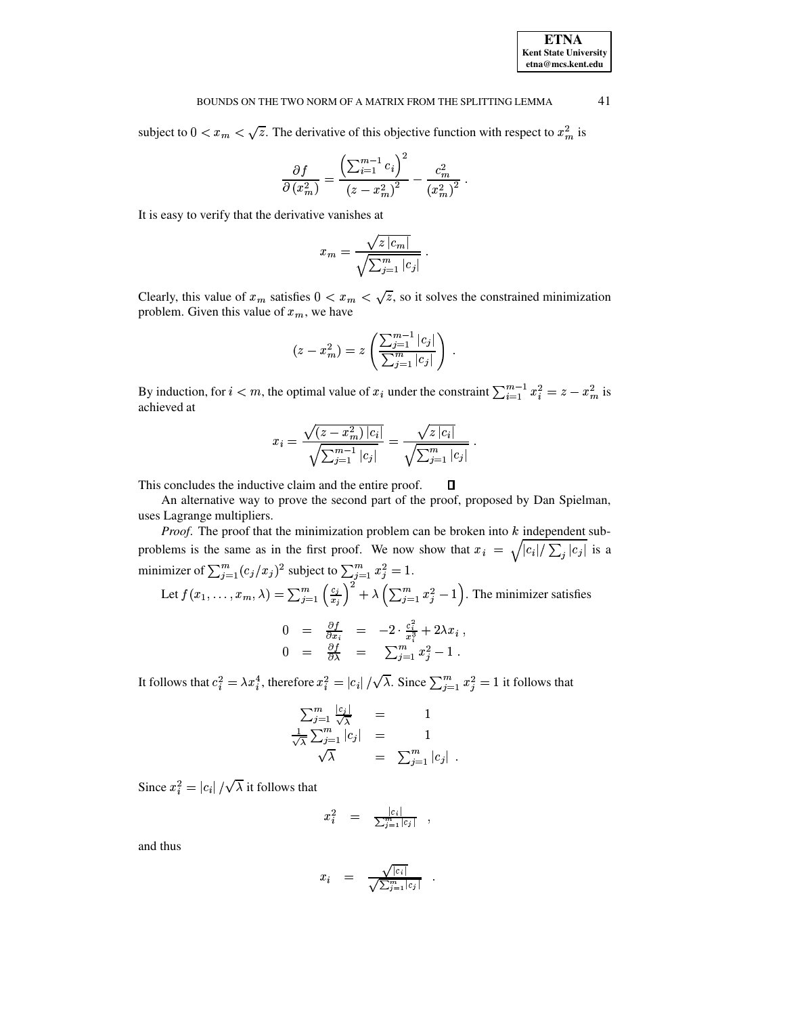#### 41 BOUNDS ON THE TWO NORM OF A MATRIX FROM THE SPLITTING LEMMA

subject to  $0 < x_m < \sqrt{z}$ . The derivative of this objective function with respect to  $x_m^2$  is

$$
\frac{\partial f}{\partial (x_m^2)} = \frac{\left(\sum_{i=1}^{m-1} c_i\right)^2}{\left(z - x_m^2\right)^2} - \frac{c_m^2}{\left(x_m^2\right)^2}
$$

It is easy to verify that the derivative vanishes at

$$
x_m = \frac{\sqrt{z \, |c_m|}}{\sqrt{\sum_{j=1}^m |c_j|}} \, .
$$

Clearly, this value of  $x_m$  satisfies  $0 < x_m < \sqrt{z}$ , so it solves the constrained minimization problem. Given this value of  $x_m$ , we have

$$
(z - x_m^2) = z \left( \frac{\sum_{j=1}^{m-1} |c_j|}{\sum_{j=1}^m |c_j|} \right)
$$

By induction, for  $i < m$ , the optimal value of  $x_i$  under the constraint  $\sum_{i=1}^{m-1} x_i^2 = z - x_m^2$  is achieved at

$$
x_i = \frac{\sqrt{(z - x_m^2) |c_i|}}{\sqrt{\sum_{j=1}^{m-1} |c_j|}} = \frac{\sqrt{z |c_i|}}{\sqrt{\sum_{j=1}^{m} |c_j|}}.
$$

This concludes the inductive claim and the entire proof. □

An alternative way to prove the second part of the proof, proposed by Dan Spielman, uses Lagrange multipliers.

*Proof.* The proof that the minimization problem can be broken into  $k$  independent subproblems is the same as in the first proof. We now show that  $x_i = \sqrt{|c_i|} \sum_j |c_j|$  is a minimizer of  $\sum_{j=1}^{m} (c_j/x_j)^2$  subject to  $\sum_{j=1}^{m} x_j^2 = 1$ .<br>Let  $f(x_1, ..., x_m, \lambda) = \sum_{j=1}^{m} \left(\frac{c_j}{x_j}\right)^2 + \lambda \left(\sum_{j=1}^{m} x_j^2 - 1\right)$ . The minimizer satisfies  $\begin{array}{rcl} 0&=&\frac{\partial f}{\partial x_i}&=&-2\cdot\frac{c_i^2}{x_i^3}+2\lambda x_i\ ,\\ 0&=&\frac{\partial f}{\partial\lambda}&=&\sum_{j=1}^mx_j^2-1\ . \end{array}$ 

It follows that  $c_i^2 = \lambda x_i^4$ , therefore  $x_i^2 = |c_i| / \sqrt{\lambda}$ . Since  $\sum_{j=1}^m x_j^2 = 1$  it follows that

$$
\frac{\sum_{j=1}^{m} \frac{|c_j|}{\sqrt{\lambda}}}{\frac{1}{\sqrt{\lambda}} \sum_{j=1}^{m} |c_j|} = \frac{1}{\sqrt{\lambda}}
$$
  

$$
\sqrt{\lambda} = \sum_{j=1}^{m} |c_j|
$$

Since  $x_i^2 = |c_i| / \sqrt{\lambda}$  it follows that

$$
x_i^2 = \frac{|c_i|}{\sum_{j=1}^m |c_j|}.
$$

and thus

$$
x_i = \frac{\sqrt{|c_i|}}{\sqrt{\sum_{j=1}^m |c_j|}} .
$$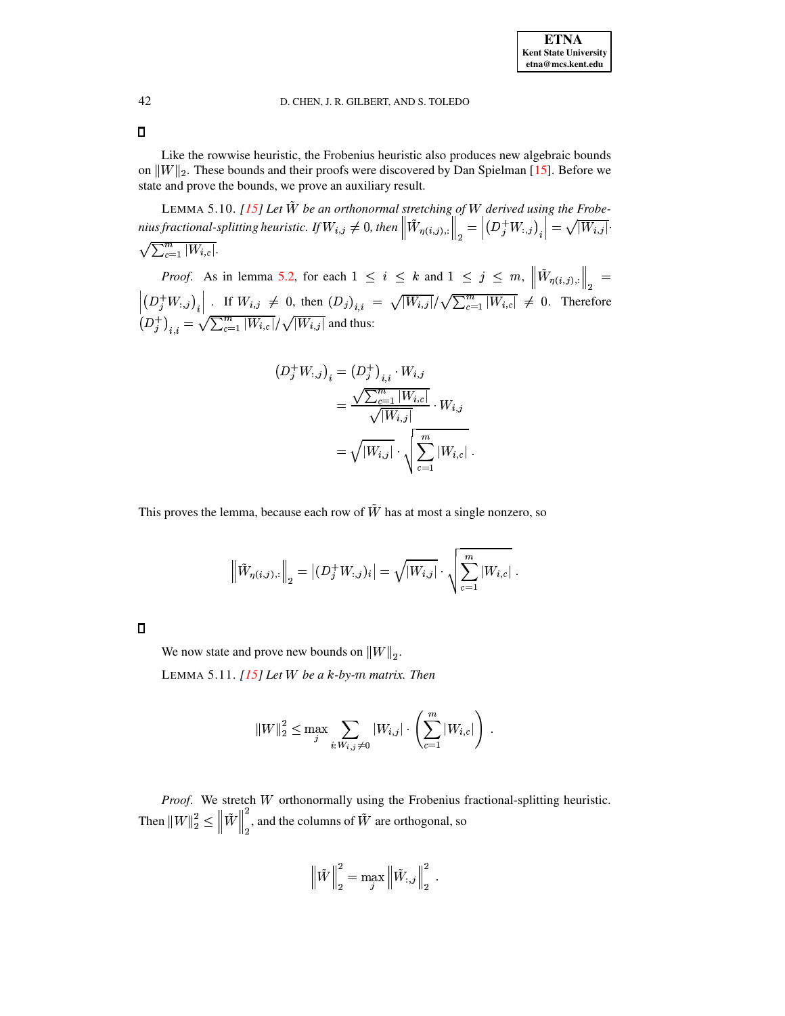$\Box$ 

Like the rowwise heuristic, the Frobenius heuristic also produces new algebraic bounds on  $||W||_2$ . These bounds and their proofs were discovered by Dan Spielman [\[15\]](#page-18-14). Before we state and prove the bounds, we prove an auxiliary result.

<span id="page-14-0"></span>LEMMA 5.10.  $[15]$  Let  $\tilde{W}$  be an orthonormal stretching of W derived using the Frobe- $\begin{aligned} & \textit{nius fractional-splitting heuristic. If}\, W_{i,j} \neq 0, \, \textit{then} \, \left\| W_{\eta(i,j),:} \right\|_2 = \left|\left(D_j^+W_{:,j}\right)_{i}\right| = \sqrt{\sum_{i=1}^m |W_{i,i}|}. \end{aligned}$ at-splitting heuristic. If  $W_{i,j} \neq 0$ , then  $\left\|W_{\eta(i,j),:}\right\|_2 = \left|\left(D_j^{\top} W_{:,j}\right)_i\right| = \sqrt{|W_{i,j}|}.$  $\sqrt{\sum_{c=1}^{m}|W_{i,c}|}$ .

*Proof.* As in lemma [5.2,](#page-9-0) for each  $1 \leq i \leq k$  and  $1 \leq j \leq m$ ,  $\left\|W_{\eta(i,j),:}\right\|_2 =$  $\|\cdot\|_2$  $\left(\begin{matrix}D_j^+&\cdots&D_i^+\\D_i^+&\cdots&D_i^-\end{matrix}\right)_{i,j}=\sqrt{\sum_j^+}$ If  $W_{i,j} \neq 0$ , then  $(D_j)_{i,j} = \sqrt{|W_{i,j}|}/\sqrt{\sum_{c=1}^m |W_{i,c}|} \neq 0$ . Therefore  $(D_j^* W_{i,j}^*)_{i,j} : \frac{1}{W} \cdot \frac{1}{W} \cdot \frac{1}{W} \cdot \frac{1}{W}$ , when  $(D_j^*)_{i,i} :$ <br> $(D_j^*)_{i,j} = \sqrt{\sum_{c=1}^m |W_{i,c}|} / \sqrt{|W_{i,j}|}$  and thus:

$$
(D_j^+ W_{:,j})_i = (D_j^+)_{i,i} \cdot W_{i,j}
$$
  
= 
$$
\frac{\sqrt{\sum_{c=1}^m |W_{i,c}|}}{\sqrt{|W_{i,j}|}} \cdot W_{i,j}
$$
  
= 
$$
\sqrt{|W_{i,j}|} \cdot \sqrt{\sum_{c=1}^m |W_{i,c}|}.
$$

This proves the lemma, because each row of  $\tilde{W}$  has at most a single nonzero, so

$$
\left\|\tilde{W}_{\eta(i,j),:}\right\|_2 = \left|(D_j^+W_{:,j})_i\right| = \sqrt{|W_{i,j}|}\cdot \sqrt{\sum_{c=1}^m |W_{i,c}|}\ .
$$

<span id="page-14-1"></span>

We now state and prove new bounds on  $||W||_2$ .

LEMMA 5.11.  $[15]$  *Let W be a k*-*by-m matrix. Then* 

$$
||W||_2^2 \leq \max_j \sum_{i: W_{i,j} \neq 0} |W_{i,j}| \cdot \left(\sum_{c=1}^m |W_{i,c}|\right) .
$$

*Proof.* We stretch W orthonormally using the Frobenius fractional-splitting heuristic. Then  $\|W\|_2^2 \leq \|W\|_2^2$ , and the columns of  $W$  are orthogonal, so <sup>Ð</sup> <sup>Ð</sup>

$$
\left\|\tilde{W}\right\|_2^2=\max_j\left\|\tilde{W}_{:,j}\right\|_2^2\;.
$$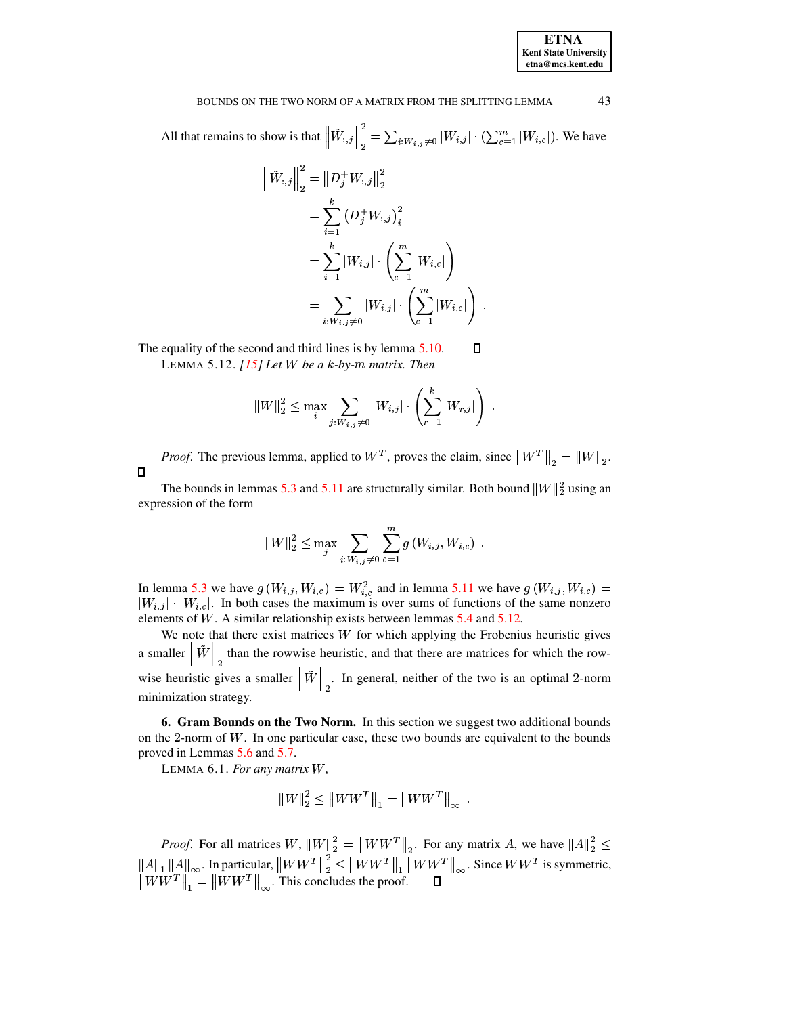

#### 43 BOUNDS ON THE TWO NORM OF A MATRIX FROM THE SPLITTING LEMMA

All that remains to show is that  $\left\|\tilde{W}_{:,j}\right\|_2^2 = \sum_{i:W_{i,j}\neq 0} |W_{i,j}| \cdot (\sum_{c=1}^m |W_{i,c}|)$ . We have

$$
\left\| \tilde{W}_{:,j} \right\|_2^2 = \left\| D_j^+ W_{:,j} \right\|_2^2
$$
  
=  $\sum_{i=1}^k \left( D_j^+ W_{:,j} \right)_i^2$   
=  $\sum_{i=1}^k |W_{i,j}| \cdot \left( \sum_{c=1}^m |W_{i,c}| \right)$   
=  $\sum_{i: W_{i,j} \neq 0} |W_{i,j}| \cdot \left( \sum_{c=1}^m |W_{i,c}| \right).$ 

<span id="page-15-1"></span>The equality of the second and third lines is by lemma 5.10.  $\Box$ 

LEMMA 5.12.  $[15]$  Let W be a k-by-m matrix. Then

$$
||W||_2^2 \leq \max_i \sum_{j: W_{i,j} \neq 0} |W_{i,j}| \cdot \left(\sum_{r=1}^k |W_{r,j}|\right) .
$$

*Proof.* The previous lemma, applied to  $W^T$ , proves the claim, since  $\|W^T\|_2 = \|W\|_2$ .  $\Box$ 

The bounds in lemmas 5.3 and 5.11 are structurally similar. Both bound  $||W||_2^2$  using an expression of the form

$$
|W\|_2^2 \leq \max_j \sum_{i: W_{i,j} \neq 0} \sum_{c=1}^m g(W_{i,j}, W_{i,c}) .
$$

In lemma 5.3 we have  $g(W_{i,j}, W_{i,c}) = W_{i,c}^2$  and in lemma 5.11 we have  $g(W_{i,j}, W_{i,c}) = |W_{i,j}| \cdot |W_{i,c}|$ . In both cases the maximum is over sums of functions of the same nonzero elements of  $W$ . A similar relationship exists between lemmas  $5.4$  and  $5.12$ .

We note that there exist matrices  $W$  for which applying the Frobenius heuristic gives a smaller  $\left\| \tilde{W} \right\|_2$  than the rowwise heuristic, and that there are matrices for which the rowwise heuristic gives a smaller  $\|\tilde{W}\|_{\Omega}$ . In general, neither of the two is an optimal 2-norm minimization strategy.

<span id="page-15-2"></span><span id="page-15-0"></span>6. Gram Bounds on the Two Norm. In this section we suggest two additional bounds on the 2-norm of  $W$ . In one particular case, these two bounds are equivalent to the bounds proved in Lemmas 5.6 and 5.7.

LEMMA 6.1. For any matrix W,

$$
||W||_2^2 \le ||WW^T||_1 = ||WW^T||_{\infty}
$$

*Proof.* For all matrices  $W$ ,  $||W||_2^2 = ||WW^T||_2$ . For any matrix  $A$ , we have  $||A||_2^2 \le ||A||_1 ||A||_\infty$ . In particular,  $||WW^T||_2^2 \le ||WW^T||_1 ||WW^T||_\infty$ . Since  $WW^T$  is symmetric,  $||WW^T||_1 = ||WW^T||_\infty$ . This concludes the proof.  $\s$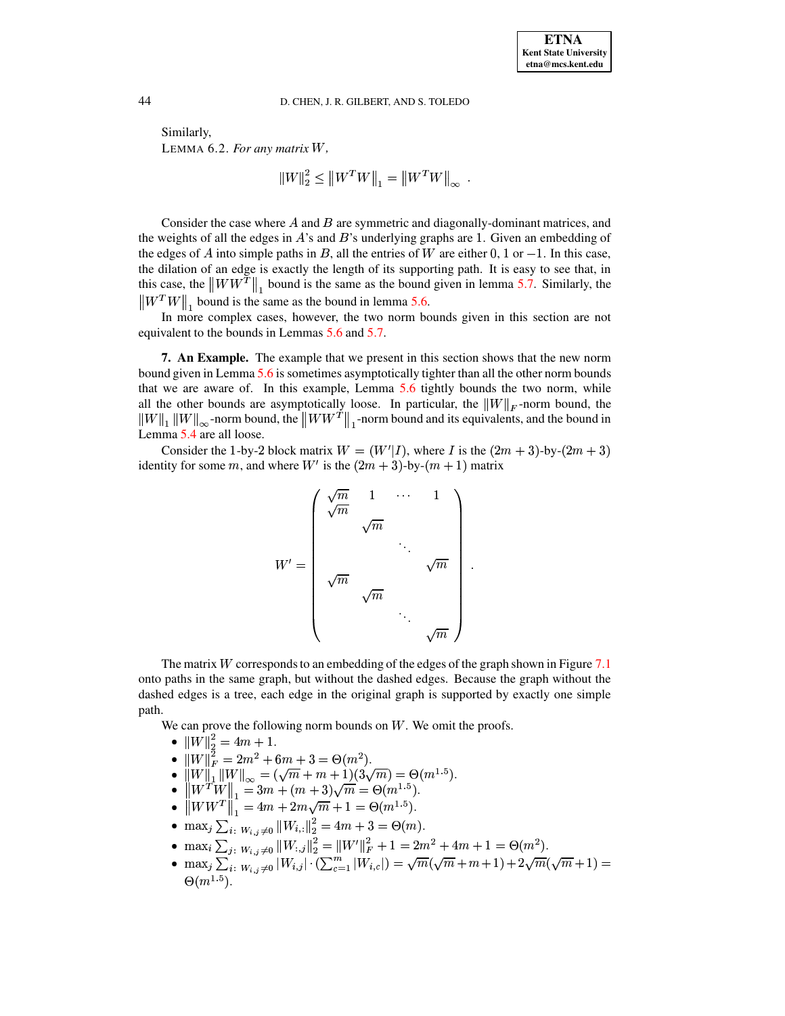Similarly, LEMMA 6.2. *For any matrix* <sup>U</sup>*,*

$$
||W||_2^2 \leq ||W^T W||_1 = ||W^T W||_{\infty}.
$$

Consider the case where  $A$  and  $B$  are symmetric and diagonally-dominant matrices, and the weights of all the edges in  $A$ 's and  $B$ 's underlying graphs are 1. Given an embedding of the edges of A into simple paths in B, all the entries of W are either 0, 1 or  $-1$ . In this case, the dilation of an edge is exactly the length of its supporting path. It is easy to see that, in this case, the  $\|WW^T\|_1$  bound is the same as the bound given in lemma [5.7.](#page-11-1) Similarly, the  $\frac{1}{2}$  bound is the same as the bound in lemma [5.6.](#page-11-0)

 $\frac{1}{\ln 1}$  and  $\frac{1}{\ln 2}$  of the two morm bounds given in this section are not In more complex cases, however, the two norm bounds given in this section are not equivalent to the bounds in Lemmas [5.6](#page-11-0) and [5.7.](#page-11-1)

<span id="page-16-0"></span>**7. An Example.** The example that we present in this section shows that the new norm bound given in Lemma [5.6](#page-11-0) is sometimes asymptotically tighter than all the other norm bounds that we are aware of. In this example, Lemma [5.6](#page-11-0) tightly bounds the two norm, while all the other bounds are asymptotically loose. In particular, the  $||W||_F$ -norm bound, the  $\|W\|_1 \|W\|_\infty$ -norm bound, the  $\|WW^T\|_1$ -norm bound and its equivalents, and the bound in <sup>Ð</sup> <sup>Ð</sup> Lemma [5.4](#page-10-1) are all loose.

Consider the 1-by-2 block matrix  $W = (W'|I)$ , where I is the  $(2m + 3)$ -by- $(2m + 3)$ identity for some m, and where  $W'$  is the  $(2m + 3)$ -by- $(m + 1)$  matrix

$$
W' = \left( \begin{array}{cccc} \sqrt{m} & 1 & \cdots & 1 \\ \sqrt{m} & & & \\ & \sqrt{m} & & \\ & & \ddots & \\ \sqrt{m} & & \\ & & & \ddots \\ & & & & \sqrt{m} \end{array} \right).
$$

The matrix  $W$  corresponds to an embedding of the edges of the graph shown in Figure [7.1](#page-17-3) onto paths in the same graph, but without the dashed edges. Because the graph without the dashed edges is a tree, each edge in the original graph is supported by exactly one simple path.

We can prove the following norm bounds on  $W$ . We omit the proofs.

- $\bullet$  TW 1.  $= 4m$
- $\|W\|_2^2 = 4m + 1$ .<br>•  $\|W\|_F^2 = 2m^2 + 6m + 3 = \Theta(m^2)$ .
- 
- 
- $\|W\|_1 \|W\|_{\infty} = (\sqrt{m} + m + 1)(3\sqrt{m}) = \Theta(m^{1.5}).$ <br>•  $\|W^T W\|_1 = 3m + (m+3)\sqrt{m} = \Theta(m^{1.5}).$ <br>•  $\|WW^T\|_1 = 4m + 2m\sqrt{m} + 1 = \Theta(m^{1.5}).$
- $\max_j \sum_{i: W_{i,j} \neq 0} ||W_{i,:}||_2^2 = 4m + 3 = \Theta(m).$
- 
- $\max_i \sum_{j: |W_{i,j}\neq 0} ||W_{:,j}||_2^2 = ||W'||_F^2 + 1 = 2m^2 + 4m + 1 = \Theta(m^2).$ <br>•  $\max_i \sum_{i: |W_{i,j}\neq 0} ||W_{i,j}| \cdot (\sum_{i=1}^m ||W_{i,c}||) = \sqrt{m}(\sqrt{m} + m + 1) + 2\sqrt{m}(\sqrt{m} + 1) =$  $\Theta(m^{1.5})$ .

<span id="page-16-1"></span>

De beste beste beste beste beste beste beste beste beste beste beste beste beste beste beste beste beste beste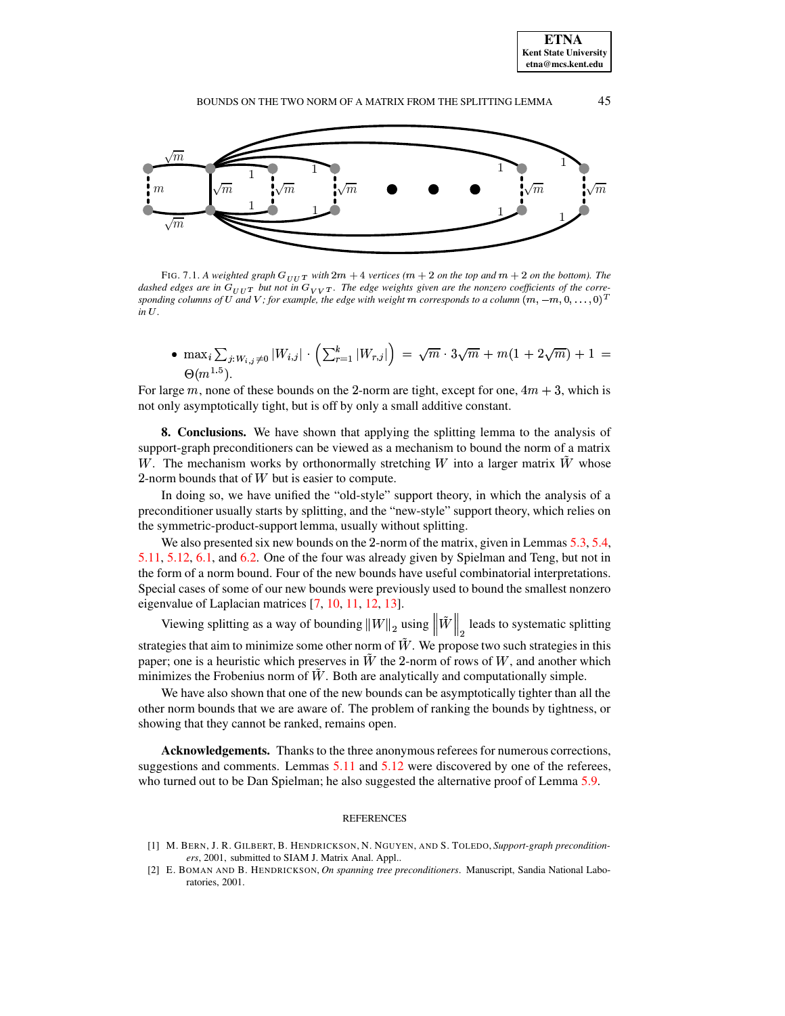

<span id="page-17-3"></span>FIG. 7.1. A weighted graph  $G_{UUT}$  with  $2m + 4$  vertices ( $m + 2$  on the top and  $m + 2$  on the bottom). The dashed edges are in  $G_{UUT}$  but not in  $G_{VVT}$ . The edge weights given are the nonzero coefficients of the corre $s$  *ponding <code>columns</code> of*  $U$  *and*  $V$  *; for example, the edge with weight*  $m$  *corresponds to a column*  $(m, -m, 0, \ldots, 0)^T$  $in U$ .

•  $\max_i \sum_{i: W_i, j \neq 0} |W_{i,j}| \cdot (\sum_{r=1}^k |W_{r,j}|) = \sqrt{m} \cdot 3\sqrt{m} + m(1 + 2\sqrt{m}) + 1 =$  $\Theta(m^{1.5})$ .

For large  $m$ , none of these bounds on the 2-norm are tight, except for one,  $4m + 3$ , which is not only asymptotically tight, but is off by only a small additive constant.

<span id="page-17-1"></span>**8. Conclusions.** We have shown that applying the splitting lemma to the analysis of support-graph preconditioners can be viewed as a mechanism to bound the norm of a matrix W. The mechanism works by orthonormally stretching  $W$  into a larger matrix  $W$  whose  $2$ -norm bounds that of  $W$  but is easier to compute.

In doing so, we have unified the "old-style" support theory, in which the analysis of a preconditioner usually starts by splitting, and the "new-style" support theory, which relies on the symmetric-product-support lemma, usually without splitting.

We also presented six new bounds on the 2-norm of the matrix, given in Lemmas  $5.3, 5.4$  $5.3, 5.4$ , [5.11,](#page-14-1) [5.12,](#page-15-1) [6.1,](#page-15-2) and [6.2.](#page-16-1) One of the four was already given by Spielman and Teng, but not in the form of a norm bound. Four of the new bounds have useful combinatorial interpretations. Special cases of some of our new bounds were previously used to bound the smallest nonzero eigenvalue of Laplacian matrices [\[7,](#page-18-6) [10,](#page-18-7) [11,](#page-18-8) [12,](#page-18-9) [13\]](#page-18-10).

Viewing splitting as a way of bounding  $||W||_2$  using  $||W||_2$  leads to systematic splitting strategies that aim to minimize some other norm of  $\tilde{W}$ . We propose two such strategies in this paper; one is a heuristic which preserves in  $W$  the 2-norm of rows of  $W$ , and another which minimizes the Frobenius norm of  $\tilde{W}$ . Both are analytically and computationally simple.

We have also shown that one of the new bounds can be asymptotically tighter than all the other norm bounds that we are aware of. The problem of ranking the bounds by tightness, or showing that they cannot be ranked, remains open.

**Acknowledgements.** Thanks to the three anonymous referees for numerous corrections, suggestions and comments. Lemmas [5.11](#page-14-1) and [5.12](#page-15-1) were discovered by one of the referees, who turned out to be Dan Spielman; he also suggested the alternative proof of Lemma [5.9.](#page-11-2)

### **REFERENCES**

- <span id="page-17-0"></span>[1] M. BERN, J. R. GILBERT, B. HENDRICKSON, N. NGUYEN, AND S. TOLEDO, *Support-graph preconditioners*, 2001, submitted to SIAM J. Matrix Anal. Appl..
- <span id="page-17-2"></span>[2] E. BOMAN AND B. HENDRICKSON, *On spanning tree preconditioners*. Manuscript, Sandia National Laboratories, 2001.